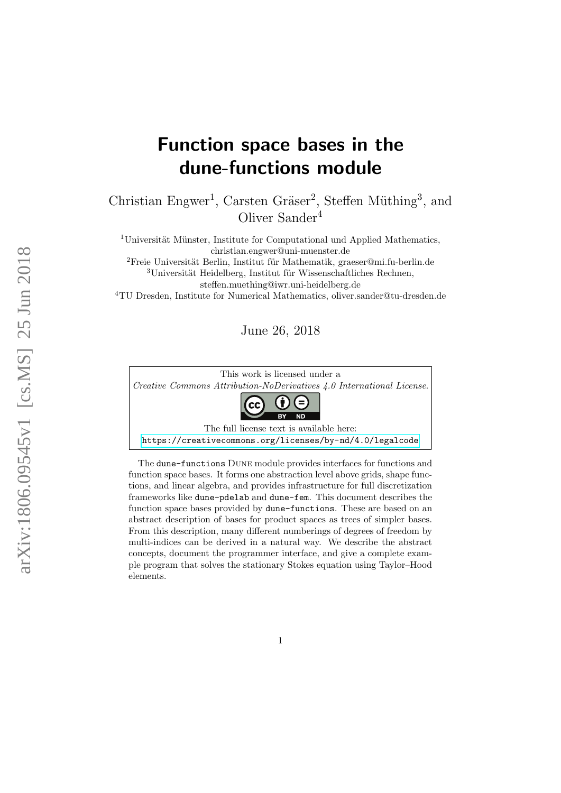# Function space bases in the dune-functions module

Christian Engwer<sup>1</sup>, Carsten Gräser<sup>2</sup>, Steffen Müthing<sup>3</sup>, and Oliver Sander<sup>4</sup>

 $1$ Universität Münster, Institute for Computational und Applied Mathematics, christian.engwer@uni-muenster.de

 ${}^{2}$ Freie Universität Berlin, Institut für Mathematik, graeser@mi.fu-berlin.de

 $3$ Universität Heidelberg, Institut für Wissenschaftliches Rechnen,

steffen.muething@iwr.uni-heidelberg.de

<sup>4</sup>TU Dresden, Institute for Numerical Mathematics, oliver.sander@tu-dresden.de

June 26, 2018



The dune-functions Dune module provides interfaces for functions and function space bases. It forms one abstraction level above grids, shape functions, and linear algebra, and provides infrastructure for full discretization frameworks like dune-pdelab and dune-fem. This document describes the function space bases provided by dune-functions. These are based on an abstract description of bases for product spaces as trees of simpler bases. From this description, many different numberings of degrees of freedom by multi-indices can be derived in a natural way. We describe the abstract concepts, document the programmer interface, and give a complete example program that solves the stationary Stokes equation using Taylor–Hood elements.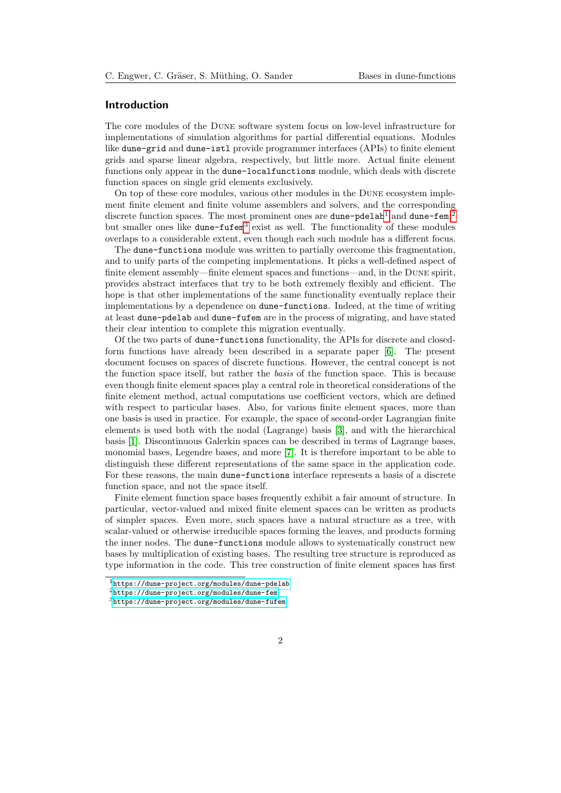## Introduction

The core modules of the Dune software system focus on low-level infrastructure for implementations of simulation algorithms for partial differential equations. Modules like dune-grid and dune-istl provide programmer interfaces (APIs) to finite element grids and sparse linear algebra, respectively, but little more. Actual finite element functions only appear in the dune-localfunctions module, which deals with discrete function spaces on single grid elements exclusively.

On top of these core modules, various other modules in the Dune ecosystem implement finite element and finite volume assemblers and solvers, and the corresponding discrete function spaces. The most prominent ones are dune-pdelab<sup>[1](#page-1-0)</sup> and dune-fem,<sup>[2](#page-1-1)</sup> but smaller ones like dune-fufem<sup>[3](#page-1-2)</sup> exist as well. The functionality of these modules overlaps to a considerable extent, even though each such module has a different focus.

The dune-functions module was written to partially overcome this fragmentation, and to unify parts of the competing implementations. It picks a well-defined aspect of finite element assembly—finite element spaces and functions—and, in the Dune spirit, provides abstract interfaces that try to be both extremely flexibly and efficient. The hope is that other implementations of the same functionality eventually replace their implementations by a dependence on dune-functions. Indeed, at the time of writing at least dune-pdelab and dune-fufem are in the process of migrating, and have stated their clear intention to complete this migration eventually.

Of the two parts of dune-functions functionality, the APIs for discrete and closedform functions have already been described in a separate paper [\[6\]](#page-52-0). The present document focuses on spaces of discrete functions. However, the central concept is not the function space itself, but rather the basis of the function space. This is because even though finite element spaces play a central role in theoretical considerations of the finite element method, actual computations use coefficient vectors, which are defined with respect to particular bases. Also, for various finite element spaces, more than one basis is used in practice. For example, the space of second-order Lagrangian finite elements is used both with the nodal (Lagrange) basis [\[3\]](#page-52-1), and with the hierarchical basis [\[1\]](#page-52-2). Discontinuous Galerkin spaces can be described in terms of Lagrange bases, monomial bases, Legendre bases, and more [\[7\]](#page-52-3). It is therefore important to be able to distinguish these different representations of the same space in the application code. For these reasons, the main dune-functions interface represents a basis of a discrete function space, and not the space itself.

Finite element function space bases frequently exhibit a fair amount of structure. In particular, vector-valued and mixed finite element spaces can be written as products of simpler spaces. Even more, such spaces have a natural structure as a tree, with scalar-valued or otherwise irreducible spaces forming the leaves, and products forming the inner nodes. The dune-functions module allows to systematically construct new bases by multiplication of existing bases. The resulting tree structure is reproduced as type information in the code. This tree construction of finite element spaces has first

<span id="page-1-0"></span><sup>1</sup><https://dune-project.org/modules/dune-pdelab>

<span id="page-1-1"></span><sup>2</sup><https://dune-project.org/modules/dune-fem>

<span id="page-1-2"></span><sup>3</sup><https://dune-project.org/modules/dune-fufem>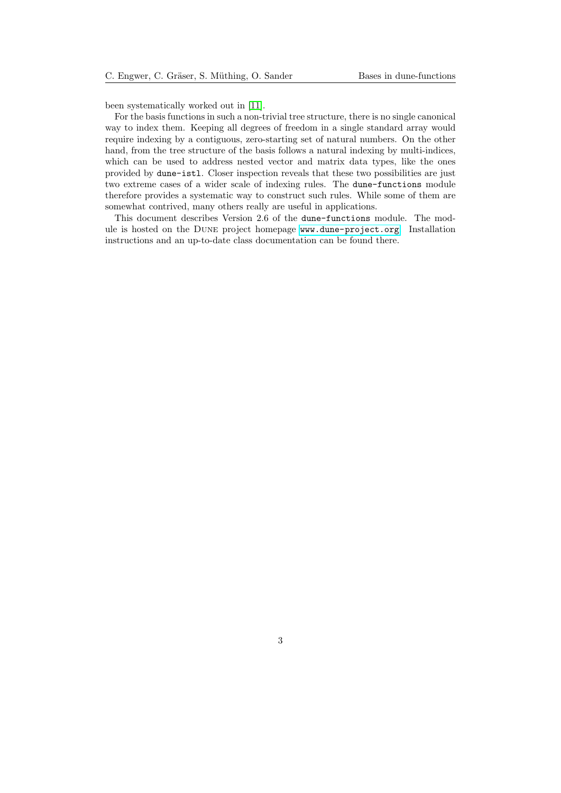been systematically worked out in [\[11\]](#page-52-4).

For the basis functions in such a non-trivial tree structure, there is no single canonical way to index them. Keeping all degrees of freedom in a single standard array would require indexing by a contiguous, zero-starting set of natural numbers. On the other hand, from the tree structure of the basis follows a natural indexing by multi-indices, which can be used to address nested vector and matrix data types, like the ones provided by dune-istl. Closer inspection reveals that these two possibilities are just two extreme cases of a wider scale of indexing rules. The dune-functions module therefore provides a systematic way to construct such rules. While some of them are somewhat contrived, many others really are useful in applications.

This document describes Version 2.6 of the dune-functions module. The module is hosted on the Dune project homepage <www.dune-project.org>. Installation instructions and an up-to-date class documentation can be found there.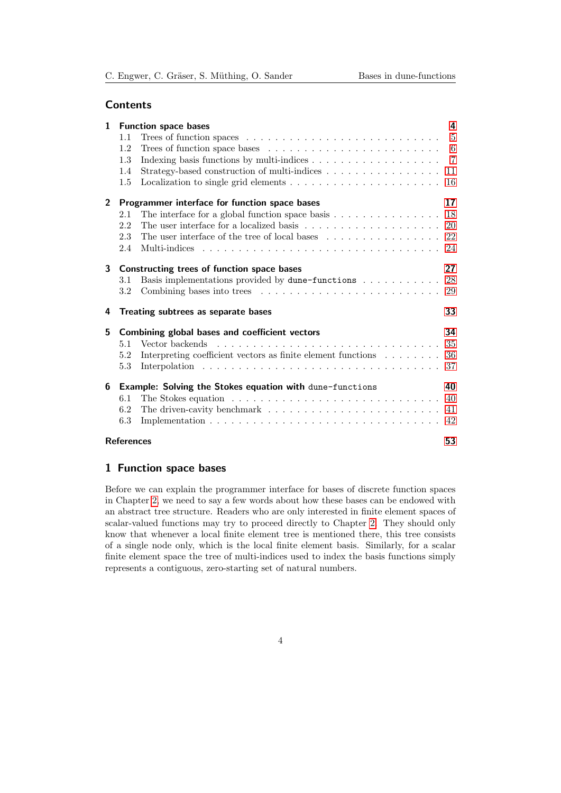# Contents

| $\mathbf{1}$   |                                                                 | <b>Function space bases</b>                                                                    | 4             |  |  |  |  |  |
|----------------|-----------------------------------------------------------------|------------------------------------------------------------------------------------------------|---------------|--|--|--|--|--|
|                | 1.1                                                             | Trees of function spaces $\ldots \ldots \ldots \ldots \ldots \ldots \ldots \ldots \ldots 5$    |               |  |  |  |  |  |
|                | 1.2                                                             |                                                                                                | 6             |  |  |  |  |  |
|                | 1.3                                                             | Indexing basis functions by multi-indices $\dots \dots \dots \dots \dots \dots \dots$          |               |  |  |  |  |  |
|                | 1.4                                                             | Strategy-based construction of multi-indices 11                                                |               |  |  |  |  |  |
|                | $1.5\,$                                                         | Localization to single grid elements $\dots \dots \dots \dots \dots \dots \dots \dots$         | <sup>16</sup> |  |  |  |  |  |
| $\overline{2}$ |                                                                 | Programmer interface for function space bases                                                  | 17            |  |  |  |  |  |
|                | 2.1                                                             | The interface for a global function space basis $\ldots \ldots \ldots \ldots \ldots$ 18        |               |  |  |  |  |  |
|                | 2.2                                                             | The user interface for a localized basis $\ldots \ldots \ldots \ldots \ldots \ldots \ldots 20$ |               |  |  |  |  |  |
|                | 2.3                                                             | The user interface of the tree of local bases $\ldots \ldots \ldots \ldots \ldots 22$          |               |  |  |  |  |  |
|                | 2.4                                                             |                                                                                                |               |  |  |  |  |  |
|                |                                                                 | 3 Constructing trees of function space bases                                                   |               |  |  |  |  |  |
|                | 3.1                                                             | Basis implementations provided by dune-functions 28                                            |               |  |  |  |  |  |
|                | 3.2                                                             |                                                                                                |               |  |  |  |  |  |
| 4              |                                                                 | Treating subtrees as separate bases                                                            | 33            |  |  |  |  |  |
| 5              | Combining global bases and coefficient vectors                  |                                                                                                |               |  |  |  |  |  |
|                | 5.1                                                             |                                                                                                | 35            |  |  |  |  |  |
|                | 5.2                                                             | Interpreting coefficient vectors as finite element functions 36                                |               |  |  |  |  |  |
|                | 5.3                                                             |                                                                                                |               |  |  |  |  |  |
| 6              | <b>Example: Solving the Stokes equation with dune-functions</b> |                                                                                                |               |  |  |  |  |  |
|                | 6.1                                                             | The Stokes equation $\ldots \ldots \ldots \ldots \ldots \ldots \ldots \ldots \ldots$           |               |  |  |  |  |  |
|                | 6.2                                                             |                                                                                                |               |  |  |  |  |  |
|                | 6.3                                                             |                                                                                                |               |  |  |  |  |  |
|                | <b>References</b>                                               |                                                                                                | 53            |  |  |  |  |  |

## <span id="page-3-0"></span>1 Function space bases

Before we can explain the programmer interface for bases of discrete function spaces in Chapter [2,](#page-16-0) we need to say a few words about how these bases can be endowed with an abstract tree structure. Readers who are only interested in finite element spaces of scalar-valued functions may try to proceed directly to Chapter [2.](#page-16-0) They should only know that whenever a local finite element tree is mentioned there, this tree consists of a single node only, which is the local finite element basis. Similarly, for a scalar finite element space the tree of multi-indices used to index the basis functions simply represents a contiguous, zero-starting set of natural numbers.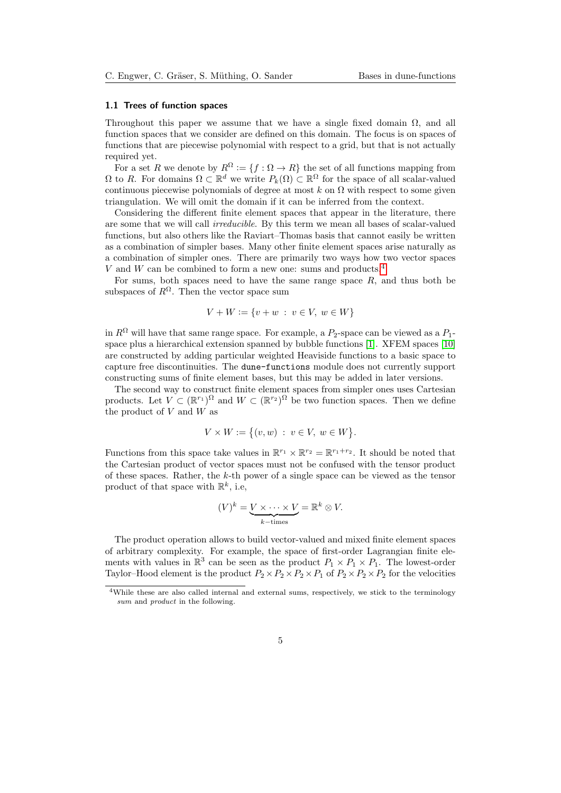## <span id="page-4-0"></span>1.1 Trees of function spaces

Throughout this paper we assume that we have a single fixed domain  $\Omega$ , and all function spaces that we consider are defined on this domain. The focus is on spaces of functions that are piecewise polynomial with respect to a grid, but that is not actually required yet.

For a set R we denote by  $R^{\Omega} := \{f : \Omega \to \mathbb{R}\}\$ the set of all functions mapping from  $\Omega$  to R. For domains  $\Omega \subset \mathbb{R}^d$  we write  $P_k(\Omega) \subset \mathbb{R}^{\Omega}$  for the space of all scalar-valued continuous piecewise polynomials of degree at most k on  $\Omega$  with respect to some given triangulation. We will omit the domain if it can be inferred from the context.

Considering the different finite element spaces that appear in the literature, there are some that we will call irreducible. By this term we mean all bases of scalar-valued functions, but also others like the Raviart–Thomas basis that cannot easily be written as a combination of simpler bases. Many other finite element spaces arise naturally as a combination of simpler ones. There are primarily two ways how two vector spaces V and W can be combined to form a new one: sums and products.<sup>[4](#page-4-1)</sup>

For sums, both spaces need to have the same range space  $R$ , and thus both be subspaces of  $R^{\Omega}$ . Then the vector space sum

$$
V + W := \{v + w : v \in V, w \in W\}
$$

in  $R^{\Omega}$  will have that same range space. For example, a  $P_2$ -space can be viewed as a  $P_1$ space plus a hierarchical extension spanned by bubble functions [\[1\]](#page-52-2). XFEM spaces [\[10\]](#page-52-6) are constructed by adding particular weighted Heaviside functions to a basic space to capture free discontinuities. The dune-functions module does not currently support constructing sums of finite element bases, but this may be added in later versions.

The second way to construct finite element spaces from simpler ones uses Cartesian products. Let  $V \subset (\mathbb{R}^{r_1})^{\Omega}$  and  $W \subset (\mathbb{R}^{r_2})^{\Omega}$  be two function spaces. Then we define the product of  $V$  and  $\overline{W}$  as

$$
V \times W := \{ (v, w) : v \in V, w \in W \}.
$$

Functions from this space take values in  $\mathbb{R}^{r_1} \times \mathbb{R}^{r_2} = \mathbb{R}^{r_1+r_2}$ . It should be noted that the Cartesian product of vector spaces must not be confused with the tensor product of these spaces. Rather, the  $k$ -th power of a single space can be viewed as the tensor product of that space with  $\mathbb{R}^k$ , i.e,

$$
(V)^k = \underbrace{V \times \cdots \times V}_{k-\text{times}} = \mathbb{R}^k \otimes V.
$$

The product operation allows to build vector-valued and mixed finite element spaces of arbitrary complexity. For example, the space of first-order Lagrangian finite elements with values in  $\mathbb{R}^3$  can be seen as the product  $P_1 \times P_1 \times P_1$ . The lowest-order Taylor–Hood element is the product  $P_2 \times P_2 \times P_2 \times P_1$  of  $P_2 \times P_2 \times P_2$  for the velocities

<span id="page-4-1"></span><sup>&</sup>lt;sup>4</sup>While these are also called internal and external sums, respectively, we stick to the terminology sum and *product* in the following.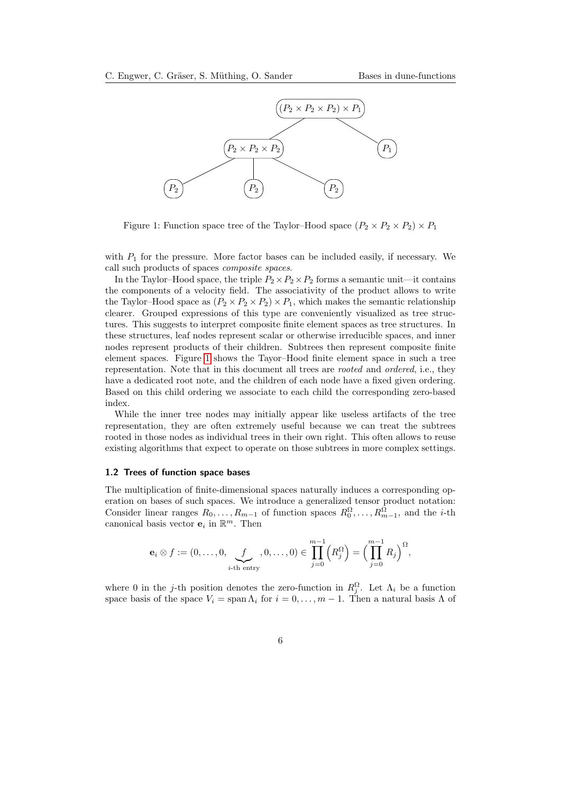

<span id="page-5-1"></span>Figure 1: Function space tree of the Taylor–Hood space  $(P_2 \times P_2 \times P_2) \times P_1$ 

with  $P_1$  for the pressure. More factor bases can be included easily, if necessary. We call such products of spaces composite spaces.

In the Taylor–Hood space, the triple  $P_2 \times P_2 \times P_2$  forms a semantic unit—it contains the components of a velocity field. The associativity of the product allows to write the Taylor–Hood space as  $(P_2 \times P_2 \times P_2) \times P_1$ , which makes the semantic relationship clearer. Grouped expressions of this type are conveniently visualized as tree structures. This suggests to interpret composite finite element spaces as tree structures. In these structures, leaf nodes represent scalar or otherwise irreducible spaces, and inner nodes represent products of their children. Subtrees then represent composite finite element spaces. Figure [1](#page-5-1) shows the Tayor–Hood finite element space in such a tree representation. Note that in this document all trees are rooted and ordered, i.e., they have a dedicated root note, and the children of each node have a fixed given ordering. Based on this child ordering we associate to each child the corresponding zero-based index.

While the inner tree nodes may initially appear like useless artifacts of the tree representation, they are often extremely useful because we can treat the subtrees rooted in those nodes as individual trees in their own right. This often allows to reuse existing algorithms that expect to operate on those subtrees in more complex settings.

#### <span id="page-5-0"></span>1.2 Trees of function space bases

The multiplication of finite-dimensional spaces naturally induces a corresponding operation on bases of such spaces. We introduce a generalized tensor product notation: Consider linear ranges  $R_0, \ldots, R_{m-1}$  of function spaces  $R_0^{\Omega}, \ldots, R_{m-1}^{\Omega}$ , and the *i*-th canonical basis vector  $e_i$  in  $\mathbb{R}^m$ . Then

$$
\mathbf{e}_i \otimes f := (0, \dots, 0, \underbrace{f}_{i \text{-th entry}}, 0, \dots, 0) \in \prod_{j=0}^{m-1} \left( R_j^{\Omega} \right) = \left( \prod_{j=0}^{m-1} R_j \right)^{\Omega},
$$

where 0 in the j-th position denotes the zero-function in  $R_j^{\Omega}$ . Let  $\Lambda_i$  be a function space basis of the space  $V_i = \text{span }\Lambda_i$  for  $i = 0, \ldots, m-1$ . Then a natural basis  $\Lambda$  of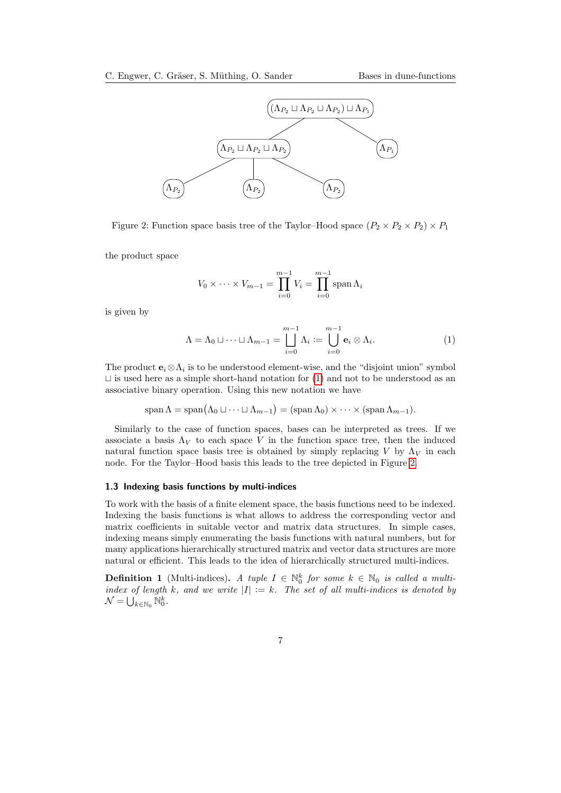

<span id="page-6-2"></span>Figure 2: Function space basis tree of the Taylor–Hood space  $(P_2 \times P_2 \times P_2) \times P_1$ 

the product space

<span id="page-6-1"></span>
$$
V_0 \times \cdots \times V_{m-1} = \prod_{i=0}^{m-1} V_i = \prod_{i=0}^{m-1} \text{span } \Lambda_i
$$

is given by

$$
\Lambda = \Lambda_0 \sqcup \cdots \sqcup \Lambda_{m-1} = \bigsqcup_{i=0}^{m-1} \Lambda_i := \bigcup_{i=0}^{m-1} \mathbf{e}_i \otimes \Lambda_i.
$$
 (1)

The product  $\mathbf{e}_i \otimes \Lambda_i$  is to be understood element-wise, and the "disjoint union" symbol  $\sqcup$  is used here as a simple short-hand notation for [\(1\)](#page-6-1) and not to be understood as an associative binary operation. Using this new notation we have

$$
\operatorname{span}\Lambda = \operatorname{span}(\Lambda_0 \sqcup \cdots \sqcup \Lambda_{m-1}) = (\operatorname{span}\Lambda_0) \times \cdots \times (\operatorname{span}\Lambda_{m-1}).
$$

Similarly to the case of function spaces, bases can be interpreted as trees. If we associate a basis  $\Lambda_V$  to each space V in the function space tree, then the induced natural function space basis tree is obtained by simply replacing V by  $\Lambda_V$  in each node. For the Taylor–Hood basis this leads to the tree depicted in Figure [2.](#page-6-2)

## <span id="page-6-0"></span>1.3 Indexing basis functions by multi-indices

To work with the basis of a finite element space, the basis functions need to be indexed. Indexing the basis functions is what allows to address the corresponding vector and matrix coefficients in suitable vector and matrix data structures. In simple cases, indexing means simply enumerating the basis functions with natural numbers, but for many applications hierarchically structured matrix and vector data structures are more natural or efficient. This leads to the idea of hierarchically structured multi-indices.

**Definition 1** (Multi-indices). A tuple  $I \in \mathbb{N}_0^k$  for some  $k \in \mathbb{N}_0$  is called a multiindex of length k, and we write  $|I| := k$ . The set of all multi-indices is denoted by  $\mathcal{N} = \bigcup_{k \in \mathbb{N}_0} \mathbb{N}_0^k.$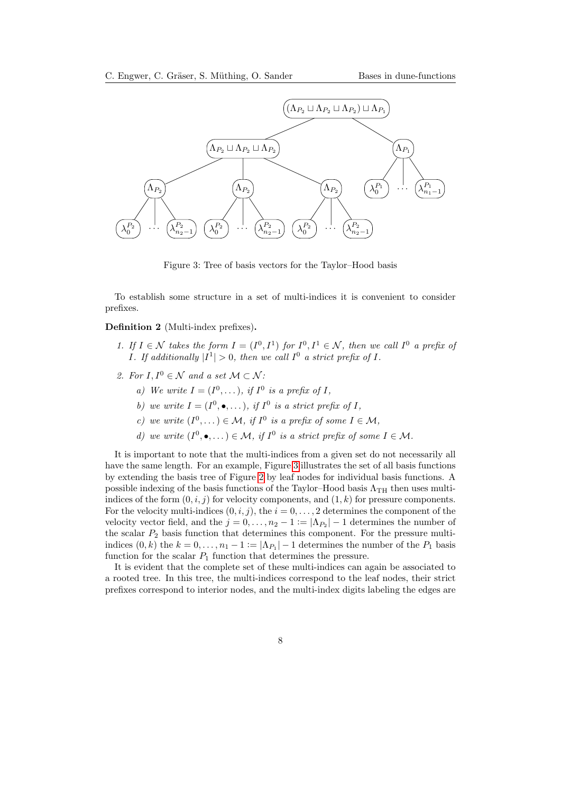

<span id="page-7-0"></span>Figure 3: Tree of basis vectors for the Taylor–Hood basis

To establish some structure in a set of multi-indices it is convenient to consider prefixes.

Definition 2 (Multi-index prefixes).

- 1. If  $I \in \mathcal{N}$  takes the form  $I = (I^0, I^1)$  for  $I^0, I^1 \in \mathcal{N}$ , then we call  $I^0$  a prefix of *I*. If additionally  $|I^1| > 0$ , then we call  $I^0$  a strict prefix of *I*.
- 2. For  $I, I^0 \in \mathcal{N}$  and a set  $\mathcal{M} \subset \mathcal{N}$ :
	- a) We write  $I = (I^0, \dots),$  if  $I^0$  is a prefix of I,
	- b) we write  $I = (I^0, \bullet, \dots)$ , if  $I^0$  is a strict prefix of I,
	- c) we write  $(I^0, \dots) \in \mathcal{M}$ , if  $I^0$  is a prefix of some  $I \in \mathcal{M}$ ,
	- d) we write  $(I^0, \bullet, \dots) \in \mathcal{M}$ , if  $I^0$  is a strict prefix of some  $I \in \mathcal{M}$ .

It is important to note that the multi-indices from a given set do not necessarily all have the same length. For an example, Figure [3](#page-7-0) illustrates the set of all basis functions by extending the basis tree of Figure [2](#page-6-2) by leaf nodes for individual basis functions. A possible indexing of the basis functions of the Taylor–Hood basis  $\Lambda_{\text{TH}}$  then uses multiindices of the form  $(0, i, j)$  for velocity components, and  $(1, k)$  for pressure components. For the velocity multi-indices  $(0, i, j)$ , the  $i = 0, \ldots, 2$  determines the component of the velocity vector field, and the  $j = 0, \ldots, n_2 - 1 := |\Lambda_{P_2}| - 1$  determines the number of the scalar  $P_2$  basis function that determines this component. For the pressure multiindices  $(0, k)$  the  $k = 0, \ldots, n_1 - 1 := |\Lambda_{P_1}| - 1$  determines the number of the  $P_1$  basis function for the scalar  $P_1$  function that determines the pressure.

It is evident that the complete set of these multi-indices can again be associated to a rooted tree. In this tree, the multi-indices correspond to the leaf nodes, their strict prefixes correspond to interior nodes, and the multi-index digits labeling the edges are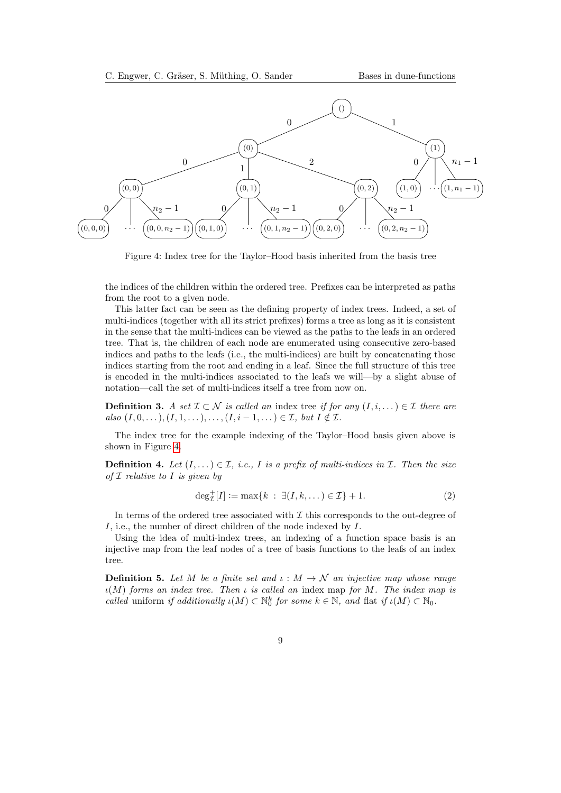

<span id="page-8-0"></span>Figure 4: Index tree for the Taylor–Hood basis inherited from the basis tree

the indices of the children within the ordered tree. Prefixes can be interpreted as paths from the root to a given node.

This latter fact can be seen as the defining property of index trees. Indeed, a set of multi-indices (together with all its strict prefixes) forms a tree as long as it is consistent in the sense that the multi-indices can be viewed as the paths to the leafs in an ordered tree. That is, the children of each node are enumerated using consecutive zero-based indices and paths to the leafs (i.e., the multi-indices) are built by concatenating those indices starting from the root and ending in a leaf. Since the full structure of this tree is encoded in the multi-indices associated to the leafs we will—by a slight abuse of notation—call the set of multi-indices itself a tree from now on.

<span id="page-8-3"></span>**Definition 3.** A set  $\mathcal{I} \subset \mathcal{N}$  is called an index tree if for any  $(I, i, \dots) \in \mathcal{I}$  there are also  $(I, 0, \ldots), (I, 1, \ldots), \ldots, (I, i-1, \ldots) \in \mathcal{I}$ , but  $I \notin \mathcal{I}$ .

The index tree for the example indexing of the Taylor–Hood basis given above is shown in Figure [4.](#page-8-0)

**Definition 4.** Let  $(I, \ldots) \in \mathcal{I}$ , i.e., I is a prefix of multi-indices in  $\mathcal{I}$ . Then the size of  $\mathcal I$  relative to  $I$  is given by

<span id="page-8-2"></span>
$$
\deg_{\mathcal{I}}^+[I] := \max\{k \; : \; \exists (I, k, \dots) \in \mathcal{I}\} + 1. \tag{2}
$$

In terms of the ordered tree associated with  $\mathcal I$  this corresponds to the out-degree of I, i.e., the number of direct children of the node indexed by I.

Using the idea of multi-index trees, an indexing of a function space basis is an injective map from the leaf nodes of a tree of basis functions to the leafs of an index tree.

<span id="page-8-1"></span>**Definition 5.** Let M be a finite set and  $\iota : M \to \mathcal{N}$  an injective map whose range  $\iota(M)$  forms an index tree. Then  $\iota$  is called an index map for M. The index map is called uniform if additionally  $\iota(M) \subset \mathbb{N}_0^k$  for some  $k \in \mathbb{N}$ , and flat if  $\iota(M) \subset \mathbb{N}_0$ .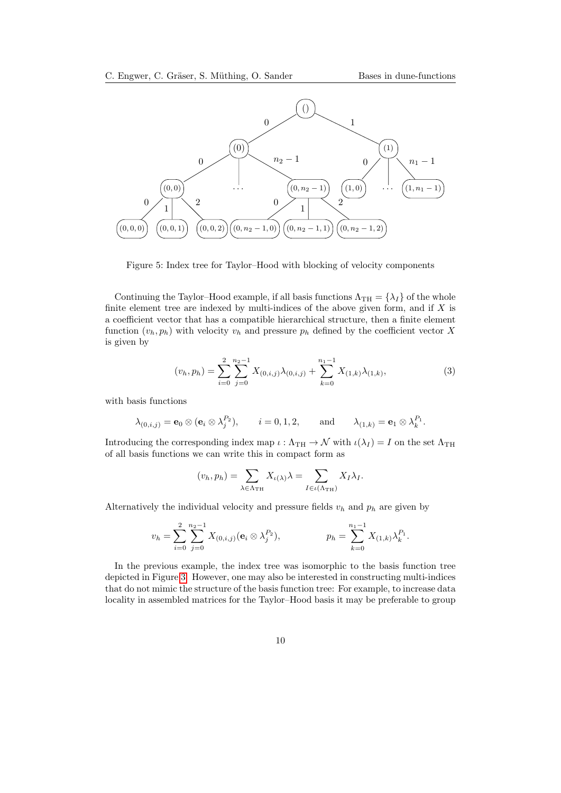

<span id="page-9-0"></span>Figure 5: Index tree for Taylor–Hood with blocking of velocity components

Continuing the Taylor–Hood example, if all basis functions  $\Lambda_{\text{TH}} = {\lambda_I}$  of the whole finite element tree are indexed by multi-indices of the above given form, and if  $X$  is a coefficient vector that has a compatible hierarchical structure, then a finite element function  $(v_h, p_h)$  with velocity  $v_h$  and pressure  $p_h$  defined by the coefficient vector X is given by

<span id="page-9-1"></span>
$$
(v_h, p_h) = \sum_{i=0}^{2} \sum_{j=0}^{n_2 - 1} X_{(0,i,j)} \lambda_{(0,i,j)} + \sum_{k=0}^{n_1 - 1} X_{(1,k)} \lambda_{(1,k)},
$$
\n(3)

with basis functions

$$
\lambda_{(0,i,j)} = \mathbf{e}_0 \otimes (\mathbf{e}_i \otimes \lambda_j^{P_2}), \quad i = 0, 1, 2, \quad \text{and} \quad \lambda_{(1,k)} = \mathbf{e}_1 \otimes \lambda_k^{P_1}.
$$

Introducing the corresponding index map  $\iota : \Lambda_{TH} \to \mathcal{N}$  with  $\iota(\lambda_I) = I$  on the set  $\Lambda_{TH}$ of all basis functions we can write this in compact form as

$$
(v_h, p_h) = \sum_{\lambda \in \Lambda_{\rm TH}} X_{\iota(\lambda)} \lambda = \sum_{I \in \iota(\Lambda_{\rm TH})} X_I \lambda_I.
$$

Alternatively the individual velocity and pressure fields  $v_h$  and  $p_h$  are given by

$$
v_h = \sum_{i=0}^{2} \sum_{j=0}^{n_2-1} X_{(0,i,j)}(\mathbf{e}_i \otimes \lambda_j^{P_2}), \qquad p_h = \sum_{k=0}^{n_1-1} X_{(1,k)} \lambda_k^{P_1}.
$$

In the previous example, the index tree was isomorphic to the basis function tree depicted in Figure [3.](#page-7-0) However, one may also be interested in constructing multi-indices that do not mimic the structure of the basis function tree: For example, to increase data locality in assembled matrices for the Taylor–Hood basis it may be preferable to group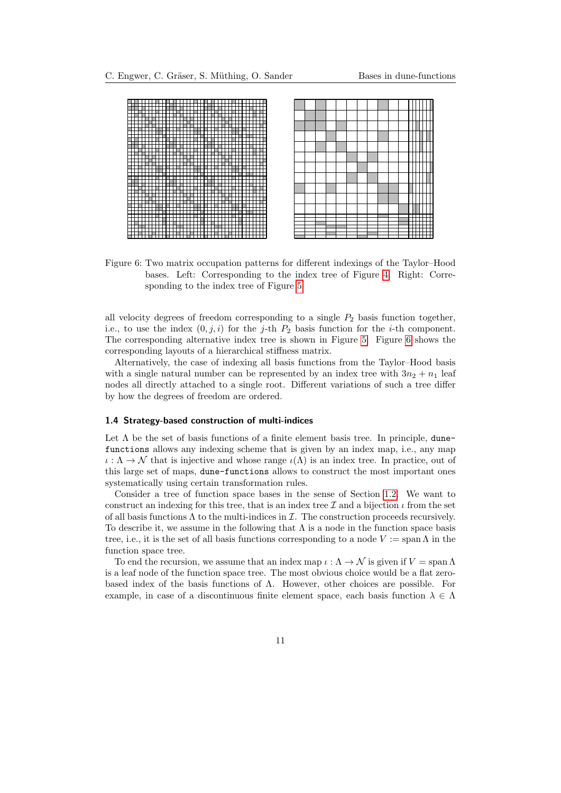

Figure 6: Two matrix occupation patterns for different indexings of the Taylor–Hood bases. Left: Corresponding to the index tree of Figure [4.](#page-8-0) Right: Corresponding to the index tree of Figure [5.](#page-9-0)

<span id="page-10-1"></span>all velocity degrees of freedom corresponding to a single  $P_2$  basis function together, i.e., to use the index  $(0, j, i)$  for the j-th  $P_2$  basis function for the *i*-th component. The corresponding alternative index tree is shown in Figure [5.](#page-9-0) Figure [6](#page-10-1) shows the corresponding layouts of a hierarchical stiffness matrix.

Alternatively, the case of indexing all basis functions from the Taylor–Hood basis with a single natural number can be represented by an index tree with  $3n_2 + n_1$  leaf nodes all directly attached to a single root. Different variations of such a tree differ by how the degrees of freedom are ordered.

## <span id="page-10-0"></span>1.4 Strategy-based construction of multi-indices

Let  $\Lambda$  be the set of basis functions of a finite element basis tree. In principle, dunefunctions allows any indexing scheme that is given by an index map, i.e., any map  $\iota : \Lambda \to \mathcal{N}$  that is injective and whose range  $\iota(\Lambda)$  is an index tree. In practice, out of this large set of maps, dune-functions allows to construct the most important ones systematically using certain transformation rules.

Consider a tree of function space bases in the sense of Section [1.2.](#page-5-0) We want to construct an indexing for this tree, that is an index tree I and a bijection  $\iota$  from the set of all basis functions  $\Lambda$  to the multi-indices in  $\mathcal I$ . The construction proceeds recursively. To describe it, we assume in the following that  $\Lambda$  is a node in the function space basis tree, i.e., it is the set of all basis functions corresponding to a node  $V := \text{span }\Lambda$  in the function space tree.

To end the recursion, we assume that an index map  $\iota : \Lambda \to \mathcal{N}$  is given if  $V = \text{span }\Lambda$ is a leaf node of the function space tree. The most obvious choice would be a flat zerobased index of the basis functions of Λ. However, other choices are possible. For example, in case of a discontinuous finite element space, each basis function  $\lambda \in \Lambda$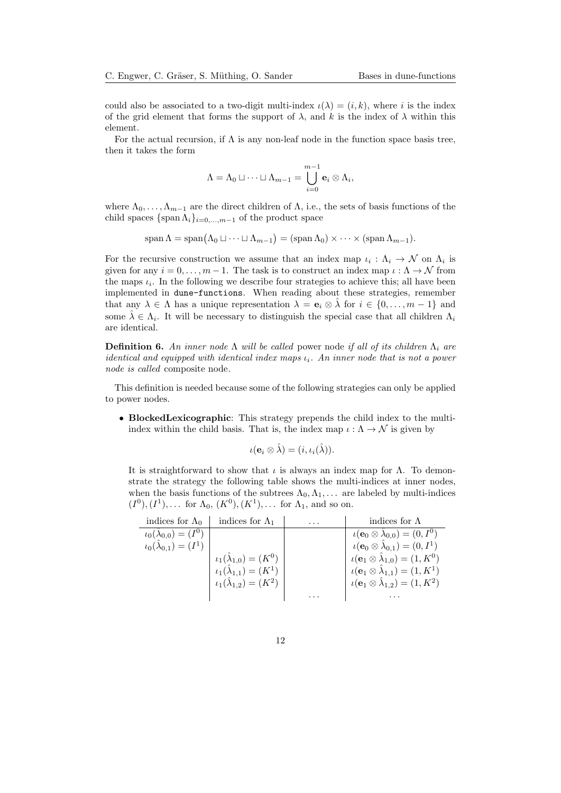could also be associated to a two-digit multi-index  $\iota(\lambda) = (i, k)$ , where i is the index of the grid element that forms the support of  $\lambda$ , and k is the index of  $\lambda$  within this element.

For the actual recursion, if  $\Lambda$  is any non-leaf node in the function space basis tree, then it takes the form

$$
\Lambda=\Lambda_0\sqcup\cdots\sqcup\Lambda_{m-1}=\bigcup_{i=0}^{m-1}{\bf e}_i\otimes\Lambda_i,
$$

where  $\Lambda_0, \ldots, \Lambda_{m-1}$  are the direct children of  $\Lambda$ , i.e., the sets of basis functions of the child spaces {span  $\Lambda_i$ }<sub>i=0,...,m−1</sub> of the product space

$$
\operatorname{span}\Lambda = \operatorname{span}(\Lambda_0 \sqcup \cdots \sqcup \Lambda_{m-1}) = (\operatorname{span}\Lambda_0) \times \cdots \times (\operatorname{span}\Lambda_{m-1}).
$$

For the recursive construction we assume that an index map  $\iota_i : \Lambda_i \to \mathcal{N}$  on  $\Lambda_i$  is given for any  $i = 0, \ldots, m - 1$ . The task is to construct an index map  $\iota : \Lambda \to \mathcal{N}$  from the maps  $\iota_i$ . In the following we describe four strategies to achieve this; all have been implemented in dune-functions. When reading about these strategies, remember that any  $\lambda \in \Lambda$  has a unique representation  $\lambda = \mathbf{e}_i \otimes \tilde{\lambda}$  for  $i \in \{0, \ldots, m-1\}$  and some  $\hat{\lambda} \in \Lambda_i$ . It will be necessary to distinguish the special case that all children  $\Lambda_i$ are identical.

<span id="page-11-0"></span>**Definition 6.** An inner node  $\Lambda$  will be called power node if all of its children  $\Lambda_i$  are identical and equipped with identical index maps  $\iota_i$ . An inner node that is not a power node is called composite node.

This definition is needed because some of the following strategies can only be applied to power nodes.

• BlockedLexicographic: This strategy prepends the child index to the multiindex within the child basis. That is, the index map  $\iota : \Lambda \to \mathcal{N}$  is given by

$$
\iota(\mathbf{e}_i\otimes\hat{\lambda})=(i,\iota_i(\hat{\lambda})).
$$

It is straightforward to show that  $\iota$  is always an index map for  $\Lambda$ . To demonstrate the strategy the following table shows the multi-indices at inner nodes, when the basis functions of the subtrees  $\Lambda_0, \Lambda_1, \ldots$  are labeled by multi-indices  $(I^0), (I^1), \ldots$  for  $\Lambda_0, (K^0), (K^1), \ldots$  for  $\Lambda_1$ , and so on.

| indices for $\Lambda_0$                | indices for $\Lambda_1$                  | . | indices for $\Lambda$                                        |
|----------------------------------------|------------------------------------------|---|--------------------------------------------------------------|
| $\iota_0(\lambda_{0,0})=(I^0)$         |                                          |   | $\iota(\mathbf{e}_0 \otimes \lambda_{0,0}) = (0,I^0)$        |
| $\iota_0(\hat{\lambda}_{0,1}) = (I^1)$ |                                          |   | $\iota(\mathbf{e}_0 \otimes \hat{\lambda}_{0,1}) = (0, I^1)$ |
|                                        | $\iota_1(\hat{\lambda}_{1,0}) = (K^0)$   |   | $\iota({\bf e}_1\otimes\hat{\lambda}_{1,0})=(1,K^0)$         |
|                                        | $\iota_1(\hat{\lambda}_{1,1}) = (K^1)$   |   | $\iota({\bf e}_1\otimes\hat{\lambda}_{1,1})=(1,K^1)$         |
|                                        | $\iota_1(\tilde{\lambda}_{1,2}) = (K^2)$ |   | $\iota({\bf e}_1\otimes\hat{\lambda}_{1,2})=(1,K^2)$         |
|                                        |                                          | . |                                                              |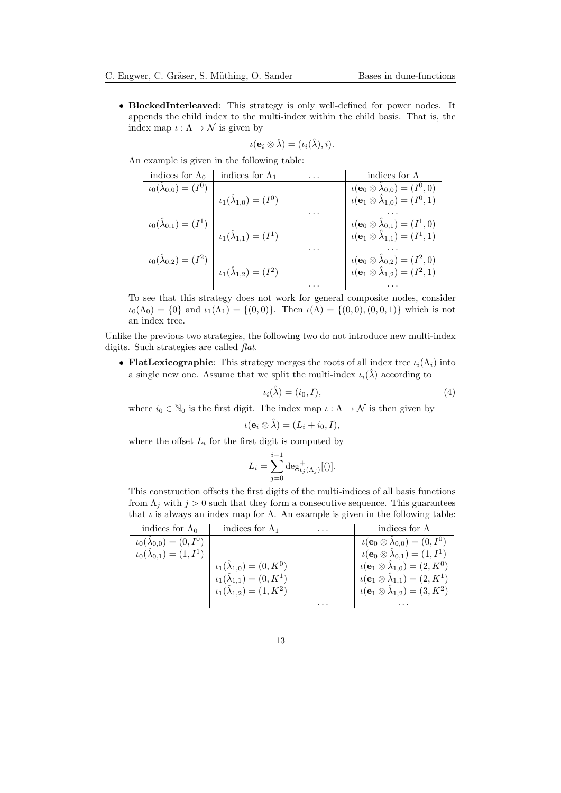• BlockedInterleaved: This strategy is only well-defined for power nodes. It appends the child index to the multi-index within the child basis. That is, the index map  $\iota : \Lambda \to \mathcal{N}$  is given by

$$
\iota(\mathbf{e}_i \otimes \hat{\lambda}) = (\iota_i(\hat{\lambda}), i).
$$

An example is given in the following table:

$$
\begin{array}{c|c}\n\text{indices for }\Lambda_{0} & \text{indices for }\Lambda_{1} & \dots & \text{indices for }\Lambda \\
\hline\n\iota_{0}(\hat{\lambda}_{0,0}) = (I^{0}) & \iota_{1}(\hat{\lambda}_{1,0}) = (I^{0}) & \iota(\mathbf{e}_{0} \otimes \hat{\lambda}_{0,0}) = (I^{0},0) \\
\downarrow i_{1}(\hat{\lambda}_{1,0}) = (I^{0}) & \dots & \iota(\mathbf{e}_{1} \otimes \hat{\lambda}_{1,0}) = (I^{0},1) \\
\hline\n\iota_{0}(\hat{\lambda}_{0,1}) = (I^{1}) & \dots & \iota(\mathbf{e}_{0} \otimes \hat{\lambda}_{0,1}) = (I^{1},0) \\
\downarrow i_{1}(\hat{\lambda}_{1,1}) = (I^{1}) & \dots & \iota(\mathbf{e}_{1} \otimes \hat{\lambda}_{1,1}) = (I^{1},1) \\
\downarrow i_{2}(\hat{\lambda}_{1,2}) = (I^{2}) & \dots & \iota(\mathbf{e}_{1} \otimes \hat{\lambda}_{1,2}) = (I^{2},0) \\
\downarrow i_{2}(\hat{\lambda}_{1,3}) = (I^{2},0) & \iota(\mathbf{e}_{1} \otimes \hat{\lambda}_{1,3}) = (I^{2},1)\n\end{array}
$$

To see that this strategy does not work for general composite nodes, consider  $\iota_0(\Lambda_0) = \{0\}$  and  $\iota_1(\Lambda_1) = \{(0,0)\}.$  Then  $\iota(\Lambda) = \{(0,0), (0,0,1)\}\$  which is not an index tree.

Unlike the previous two strategies, the following two do not introduce new multi-index digits. Such strategies are called *flat*.

• FlatLexicographic: This strategy merges the roots of all index tree  $\iota_i(\Lambda_i)$  into a single new one. Assume that we split the multi-index  $\iota_i(\lambda)$  according to

<span id="page-12-0"></span>
$$
\iota_i(\hat{\lambda}) = (i_0, I),\tag{4}
$$

where  $i_0 \in \mathbb{N}_0$  is the first digit. The index map  $\iota : \Lambda \to \mathcal{N}$  is then given by

$$
\iota(\mathbf{e}_i \otimes \hat{\lambda}) = (L_i + i_0, I),
$$

where the offset  $L_i$  for the first digit is computed by

$$
L_i = \sum_{j=0}^{i-1} \deg_{\iota_j(\Lambda_j)}^+[(0)].
$$

This construction offsets the first digits of the multi-indices of all basis functions from  $\Lambda_j$  with  $j > 0$  such that they form a consecutive sequence. This guarantees that  $\iota$  is always an index map for  $\Lambda$ . An example is given in the following table:

| indices for $\Lambda_0$            | indices for $\Lambda_1$                  | $\cdots$ | indices for $\Lambda$                                  |
|------------------------------------|------------------------------------------|----------|--------------------------------------------------------|
| $\iota_0(\lambda_{0,0}) = (0,I^0)$ |                                          |          | $\iota(\mathbf{e}_0 \otimes \lambda_{0,0}) = (0,I^0)$  |
| $\iota_0(\lambda_{0,1})=(1,I^1)$   |                                          |          | $\iota({\bf e}_0\otimes\tilde{\lambda}_{0,1})=(1,I^1)$ |
|                                    | $\iota_1(\hat{\lambda}_{1,0}) = (0,K^0)$ |          | $\iota({\bf e}_1\otimes\lambda_{1,0})=(2,K^0)$         |
|                                    | $\iota_1(\lambda_{1,1}) = (0,K^1)$       |          | $\iota({\bf e}_1\otimes\lambda_{1,1})=(2,K^1)$         |
|                                    | $\iota_1(\lambda_{1,2}) = (1, K^2)$      |          | $\iota({\bf e}_1\otimes \bar{\lambda}_{1,2})=(3,K^2)$  |
|                                    |                                          | .        |                                                        |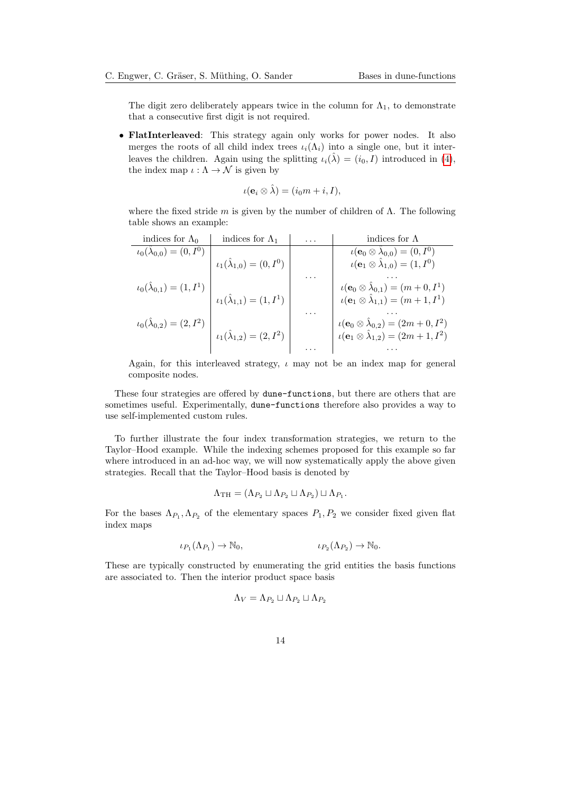The digit zero deliberately appears twice in the column for  $\Lambda_1$ , to demonstrate that a consecutive first digit is not required.

• FlatInterleaved: This strategy again only works for power nodes. It also merges the roots of all child index trees  $\iota_i(\Lambda_i)$  into a single one, but it interleaves the children. Again using the splitting  $\iota_i(\hat{\lambda}) = (i_0, I)$  introduced in [\(4\)](#page-12-0), the index map  $\iota : \Lambda \to \mathcal{N}$  is given by

$$
\iota(\mathbf{e}_i \otimes \hat{\lambda}) = (i_0 m + i, I),
$$

where the fixed stride m is given by the number of children of  $\Lambda$ . The following table shows an example:

| indices for $\Lambda_0$             | indices for $\Lambda_1$                   | . | indices for $\Lambda$                                                                                                                  |
|-------------------------------------|-------------------------------------------|---|----------------------------------------------------------------------------------------------------------------------------------------|
| $\iota_0(\lambda_{0,0}) = (0, I^0)$ |                                           |   | $\iota({\bf e}_0\otimes\hat{\lambda}_{0,0})=(0,I^0)$                                                                                   |
|                                     | $\iota_1(\hat{\lambda}_{1,0}) = (0, I^0)$ |   | $\iota({\bf e}_1\otimes\hat{\lambda}_{1,0})=(1,I^0)$                                                                                   |
|                                     |                                           |   |                                                                                                                                        |
| $\iota_0(\lambda_{0,1}) = (1, I^1)$ |                                           |   | $\iota({\bf e}_0\otimes\hat{\lambda}_{0,1})=(m+0,I^1)$                                                                                 |
|                                     | $\iota_1(\hat{\lambda}_{1,1}) = (1, I^1)$ |   | $\iota(\mathbf{e}_1 \otimes \hat{\lambda}_{1,1}) = (m+1, I^1)$                                                                         |
|                                     |                                           |   |                                                                                                                                        |
| $\iota_0(\lambda_{0,2}) = (2, I^2)$ |                                           |   |                                                                                                                                        |
|                                     | $\iota_1(\hat{\lambda}_{1,2}) = (2, I^2)$ |   | $\iota(\mathbf{e}_0 \otimes \hat{\lambda}_{0,2}) = (2m + 0, I^2)$<br>$\iota(\mathbf{e}_1 \otimes \hat{\lambda}_{1,2}) = (2m + 1, I^2)$ |
|                                     |                                           |   |                                                                                                                                        |

Again, for this interleaved strategy,  $\iota$  may not be an index map for general composite nodes.

These four strategies are offered by dune-functions, but there are others that are sometimes useful. Experimentally, dune-functions therefore also provides a way to use self-implemented custom rules.

To further illustrate the four index transformation strategies, we return to the Taylor–Hood example. While the indexing schemes proposed for this example so far where introduced in an ad-hoc way, we will now systematically apply the above given strategies. Recall that the Taylor–Hood basis is denoted by

$$
\Lambda_{\rm TH} = (\Lambda_{P_2} \sqcup \Lambda_{P_2} \sqcup \Lambda_{P_2}) \sqcup \Lambda_{P_1}.
$$

For the bases  $\Lambda_{P_1}, \Lambda_{P_2}$  of the elementary spaces  $P_1, P_2$  we consider fixed given flat index maps

$$
\iota_{P_1}(\Lambda_{P_1}) \to \mathbb{N}_0, \qquad \iota_{P_2}(\Lambda_{P_2}) \to \mathbb{N}_0.
$$

These are typically constructed by enumerating the grid entities the basis functions are associated to. Then the interior product space basis

$$
\Lambda_V = \Lambda_{P_2} \sqcup \Lambda_{P_2} \sqcup \Lambda_{P_2}
$$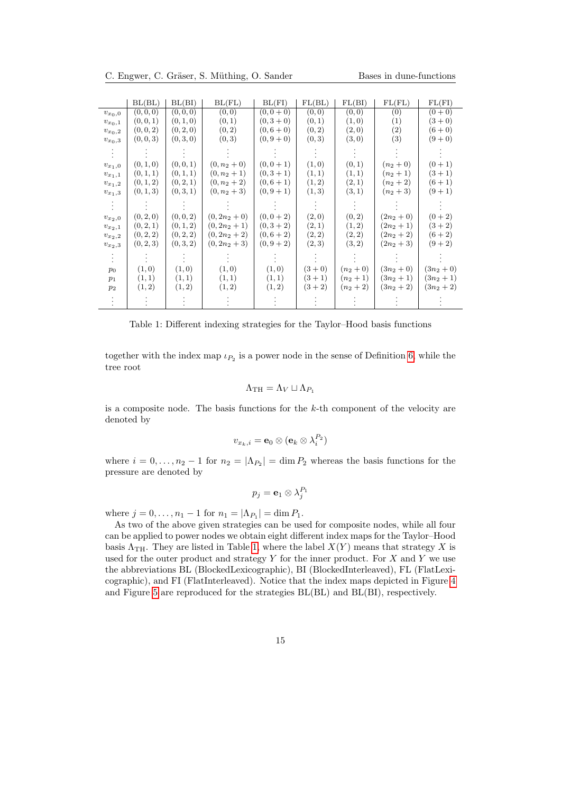|             | BL(BL)    | BL(BI)    | BL(FL)          | BL(FI)       | FL(BL)  | FL(BI)      | FL(FL)            | FL(FI)       |
|-------------|-----------|-----------|-----------------|--------------|---------|-------------|-------------------|--------------|
| $v_{x_0,0}$ | (0, 0, 0) | (0,0,0)   | (0, 0)          | $(0, 0 + 0)$ | (0, 0)  | (0, 0)      | (0)               | $(0+0)$      |
| $v_{x_0,1}$ | (0,0,1)   | (0, 1, 0) | (0,1)           | $(0, 3 + 0)$ | (0, 1)  | (1,0)       | (1)               | $(3+0)$      |
| $v_{x_0,2}$ | (0, 0, 2) | (0, 2, 0) | (0, 2)          | $(0, 6 + 0)$ | (0, 2)  | (2,0)       | $\left( 2\right)$ | $(6+0)$      |
| $v_{x_0,3}$ | (0, 0, 3) | (0,3,0)   | (0, 3)          | $(0, 9 + 0)$ | (0, 3)  | (3,0)       | (3)               | $(9+0)$      |
|             |           |           |                 |              |         |             |                   |              |
| $v_{x_1,0}$ | (0, 1, 0) | (0, 0, 1) | $(0, n_2 + 0)$  | $(0, 0 + 1)$ | (1,0)   | (0,1)       | $(n_2 + 0)$       | $(0+1)$      |
| $v_{x_1,1}$ | (0, 1, 1) | (0, 1, 1) | $(0, n_2 + 1)$  | $(0, 3 + 1)$ | (1,1)   | (1,1)       | $(n_2+1)$         | $(3+1)$      |
| $v_{x_1,2}$ | (0, 1, 2) | (0, 2, 1) | $(0, n_2 + 2)$  | $(0, 6 + 1)$ | (1, 2)  | (2,1)       | $(n_2 + 2)$       | $(6+1)$      |
| $v_{x_1,3}$ | (0, 1, 3) | (0, 3, 1) | $(0, n_2 + 3)$  | $(0, 9+1)$   | (1, 3)  | (3,1)       | $(n_2 + 3)$       | $(9+1)$      |
|             |           |           |                 |              |         |             |                   |              |
| $v_{x_2,0}$ | (0, 2, 0) | (0, 0, 2) | $(0, 2n_2 + 0)$ | $(0, 0 + 2)$ | (2,0)   | (0, 2)      | $(2n_2 + 0)$      | $(0+2)$      |
| $v_{x_2,1}$ | (0, 2, 1) | (0, 1, 2) | $(0, 2n_2 + 1)$ | $(0, 3 + 2)$ | (2,1)   | (1, 2)      | $(2n_2+1)$        | $(3+2)$      |
| $v_{x_2,2}$ | (0, 2, 2) | (0, 2, 2) | $(0, 2n_2 + 2)$ | $(0, 6 + 2)$ | (2, 2)  | (2, 2)      | $(2n_2 + 2)$      | $(6+2)$      |
| $v_{x_2,3}$ | (0, 2, 3) | (0, 3, 2) | $(0, 2n_2 + 3)$ | $(0, 9+2)$   | (2, 3)  | (3, 2)      | $(2n_2+3)$        | $(9+2)$      |
|             |           |           |                 |              |         |             |                   |              |
| $p_0$       | (1,0)     | (1,0)     | (1,0)           | (1,0)        | $(3+0)$ | $(n_2 + 0)$ | $(3n_2 + 0)$      | $(3n_2 + 0)$ |
| $p_1$       | (1, 1)    | (1, 1)    | (1,1)           | (1, 1)       | $(3+1)$ | $(n_2+1)$   | $(3n_2+1)$        | $(3n_2+1)$   |
|             | (1, 2)    | (1, 2)    | (1, 2)          | (1, 2)       | $(3+2)$ | $(n_2 + 2)$ | $(3n_2+2)$        | $(3n_2+2)$   |
| $p_2$       |           |           |                 |              |         |             |                   |              |
|             |           |           |                 |              |         |             |                   |              |

<span id="page-14-0"></span>Table 1: Different indexing strategies for the Taylor–Hood basis functions

together with the index map  $\iota_{P_2}$  is a power node in the sense of Definition [6,](#page-11-0) while the tree root

$$
\Lambda_{\mathrm{TH}} = \Lambda_V \sqcup \Lambda_{P_1}
$$

is a composite node. The basis functions for the  $k$ -th component of the velocity are denoted by

$$
v_{x_k,i} = \mathbf{e}_0 \otimes (\mathbf{e}_k \otimes \lambda_i^{P_2})
$$

where  $i = 0, \ldots, n_2 - 1$  for  $n_2 = |\Lambda_{P_2}| = \dim P_2$  whereas the basis functions for the pressure are denoted by

$$
p_j={\bf e}_1\otimes\lambda_j^{P_1}
$$

where  $j = 0, ..., n_1 - 1$  for  $n_1 = |\Lambda_{P_1}| = \dim P_1$ .

As two of the above given strategies can be used for composite nodes, while all four can be applied to power nodes we obtain eight different index maps for the Taylor–Hood basis  $\Lambda_{\text{TH}}$ . They are listed in Table [1,](#page-14-0) where the label  $X(Y)$  means that strategy X is used for the outer product and strategy  $Y$  for the inner product. For  $X$  and  $Y$  we use the abbreviations BL (BlockedLexicographic), BI (BlockedInterleaved), FL (FlatLexicographic), and FI (FlatInterleaved). Notice that the index maps depicted in Figure [4](#page-8-0) and Figure [5](#page-9-0) are reproduced for the strategies BL(BL) and BL(BI), respectively.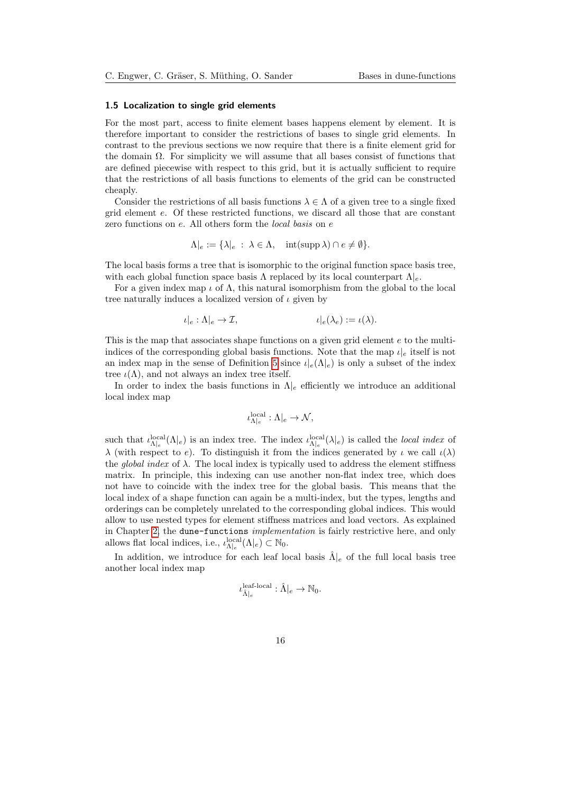## <span id="page-15-0"></span>1.5 Localization to single grid elements

For the most part, access to finite element bases happens element by element. It is therefore important to consider the restrictions of bases to single grid elements. In contrast to the previous sections we now require that there is a finite element grid for the domain  $\Omega$ . For simplicity we will assume that all bases consist of functions that are defined piecewise with respect to this grid, but it is actually sufficient to require that the restrictions of all basis functions to elements of the grid can be constructed cheaply.

Consider the restrictions of all basis functions  $\lambda \in \Lambda$  of a given tree to a single fixed grid element e. Of these restricted functions, we discard all those that are constant zero functions on e. All others form the local basis on e

$$
\Lambda|_e := \{ \lambda|_e \; : \; \lambda \in \Lambda, \quad \text{int}(\text{supp }\lambda) \cap e \neq \emptyset \}.
$$

The local basis forms a tree that is isomorphic to the original function space basis tree, with each global function space basis  $\Lambda$  replaced by its local counterpart  $\Lambda|_{e}$ .

For a given index map  $\iota$  of  $\Lambda$ , this natural isomorphism from the global to the local tree naturally induces a localized version of  $\iota$  given by

$$
\iota|_e : \Lambda|_e \to \mathcal{I}, \qquad \qquad \iota|_e(\lambda_e) := \iota(\lambda).
$$

This is the map that associates shape functions on a given grid element e to the multiindices of the corresponding global basis functions. Note that the map  $\iota|_e$  itself is not an index map in the sense of Definition [5](#page-8-1) since  $\iota|_e(\Lambda|_e)$  is only a subset of the index tree  $\iota(\Lambda)$ , and not always an index tree itself.

In order to index the basis functions in  $\Lambda|_e$  efficiently we introduce an additional local index map

$$
\iota_{\Lambda|_e}^{\rm local}:\Lambda|_e\to \mathcal{N},
$$

such that  $\iota_{\Lambda|_e}^{\text{local}}(\Lambda|_e)$  is an index tree. The index  $\iota_{\Lambda|_e}^{\text{local}}(\lambda|_e)$  is called the *local index* of  $\lambda$  (with respect to e). To distinguish it from the indices generated by  $\iota$  we call  $\iota(\lambda)$ the global index of  $\lambda$ . The local index is typically used to address the element stiffness matrix. In principle, this indexing can use another non-flat index tree, which does not have to coincide with the index tree for the global basis. This means that the local index of a shape function can again be a multi-index, but the types, lengths and orderings can be completely unrelated to the corresponding global indices. This would allow to use nested types for element stiffness matrices and load vectors. As explained in Chapter [2,](#page-16-0) the dune-functions implementation is fairly restrictive here, and only allows flat local indices, i.e.,  $\iota_{\Lambda|e}^{\text{local}}(\Lambda|e) \subset \mathbb{N}_0$ .

In addition, we introduce for each leaf local basis  $\hat{\Lambda}|_e$  of the full local basis tree another local index map

$$
\iota_{\hat{\Lambda}|_e}^{\text{leaf-local}}: \hat{\Lambda}|_e \to \mathbb{N}_0.
$$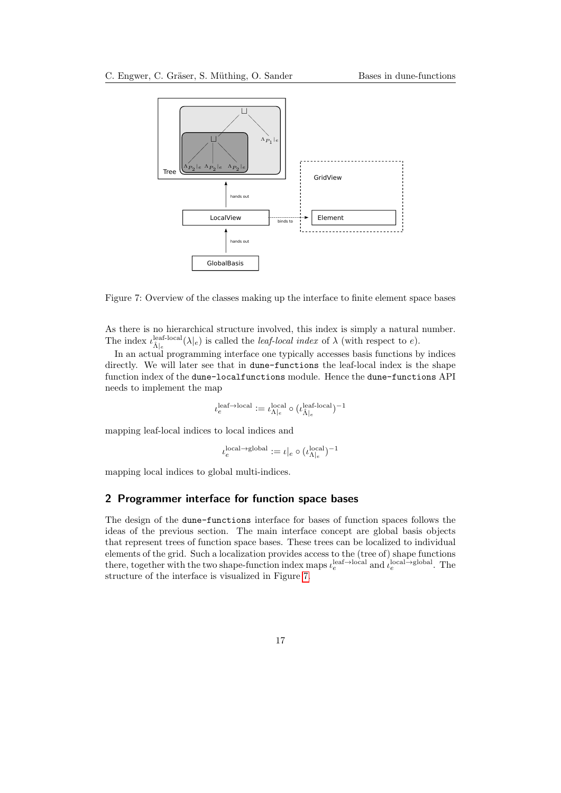

<span id="page-16-1"></span>Figure 7: Overview of the classes making up the interface to finite element space bases

As there is no hierarchical structure involved, this index is simply a natural number. The index  $\iota_{\hat{\Lambda}|_e}^{\text{leaf-local}(\lambda|_e)}$  is called the *leaf-local index* of  $\lambda$  (with respect to e).

In an actual programming interface one typically accesses basis functions by indices directly. We will later see that in dune-functions the leaf-local index is the shape function index of the dune-localfunctions module. Hence the dune-functions API needs to implement the map

$$
\iota_e^{\mathrm{leaf}\to\mathrm{local}}:=\iota_{\Lambda|_e}^{\mathrm{local}}\circ(\iota_{\hat{\Lambda}|_e}^{\mathrm{leaf-local}})^{-1}
$$

mapping leaf-local indices to local indices and

$$
\iota_e^{\text{local}\to\text{global}}:=\iota|_e\circ(\iota_{\Lambda|_e}^{\text{local}})^{-1}
$$

mapping local indices to global multi-indices.

## <span id="page-16-0"></span>2 Programmer interface for function space bases

The design of the dune-functions interface for bases of function spaces follows the ideas of the previous section. The main interface concept are global basis objects that represent trees of function space bases. These trees can be localized to individual elements of the grid. Such a localization provides access to the (tree of) shape functions there, together with the two shape-function index maps  $l_e^{\text{leaf}\rightarrow \text{local}}$  and  $l_e^{\text{local}\rightarrow \text{global}}$ . The structure of the interface is visualized in Figure [7.](#page-16-1)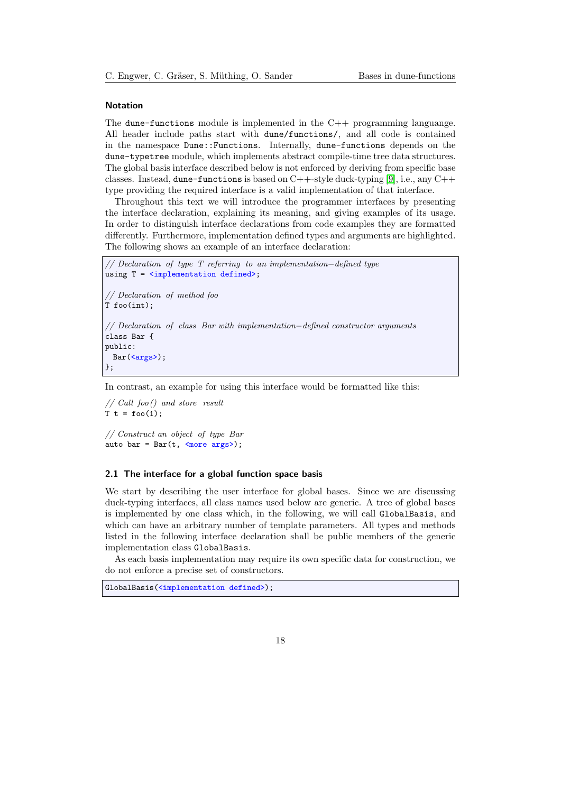## Notation

The dune-functions module is implemented in the  $C++$  programming languange. All header include paths start with dune/functions/, and all code is contained in the namespace Dune::Functions. Internally, dune-functions depends on the dune-typetree module, which implements abstract compile-time tree data structures. The global basis interface described below is not enforced by deriving from specific base classes. Instead, dune-functions is based on  $C++$ -style duck-typing [\[9\]](#page-52-7), i.e., any  $C++$ type providing the required interface is a valid implementation of that interface.

Throughout this text we will introduce the programmer interfaces by presenting the interface declaration, explaining its meaning, and giving examples of its usage. In order to distinguish interface declarations from code examples they are formatted differently. Furthermore, implementation defined types and arguments are highlighted. The following shows an example of an interface declaration:

```
// Declaration of type T referring to an implementation−defined type
using T = <implementation defined>;
// Declaration of method foo
T foo(int);
// Declaration of class Bar with implementation−defined constructor arguments
class Bar {
public:
 Bar(<args>);
};
```
In contrast, an example for using this interface would be formatted like this:

// Call foo () and store result  $T t = foo(1);$ 

// Construct an object of type Bar auto bar =  $Bar(t, \text{ 5000} \times t)$ ;

## <span id="page-17-0"></span>2.1 The interface for a global function space basis

We start by describing the user interface for global bases. Since we are discussing duck-typing interfaces, all class names used below are generic. A tree of global bases is implemented by one class which, in the following, we will call GlobalBasis, and which can have an arbitrary number of template parameters. All types and methods listed in the following interface declaration shall be public members of the generic implementation class GlobalBasis.

As each basis implementation may require its own specific data for construction, we do not enforce a precise set of constructors.

GlobalBasis(<implementation defined>);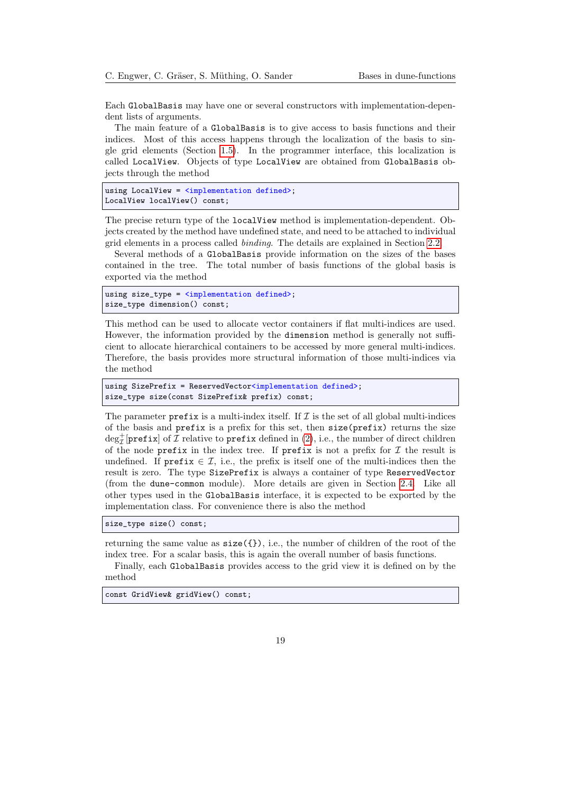Each GlobalBasis may have one or several constructors with implementation-dependent lists of arguments.

The main feature of a GlobalBasis is to give access to basis functions and their indices. Most of this access happens through the localization of the basis to single grid elements (Section [1.5\)](#page-15-0). In the programmer interface, this localization is called LocalView. Objects of type LocalView are obtained from GlobalBasis objects through the method

```
using LocalView = \langleimplementation defined>;
LocalView localView() const;
```
The precise return type of the localView method is implementation-dependent. Objects created by the method have undefined state, and need to be attached to individual grid elements in a process called binding. The details are explained in Section [2.2.](#page-19-0)

Several methods of a GlobalBasis provide information on the sizes of the bases contained in the tree. The total number of basis functions of the global basis is exported via the method

```
using size_type = <implementation defined>;
size_type dimension() const;
```
This method can be used to allocate vector containers if flat multi-indices are used. However, the information provided by the dimension method is generally not sufficient to allocate hierarchical containers to be accessed by more general multi-indices. Therefore, the basis provides more structural information of those multi-indices via the method

```
using SizePrefix = ReservedVector<implementation defined>;
size_type size(const SizePrefix& prefix) const;
```
The parameter prefix is a multi-index itself. If  $\mathcal I$  is the set of all global multi-indices of the basis and prefix is a prefix for this set, then size(prefix) returns the size  $\deg^+_{\mathcal{I}}[\mathtt{prefix}]$  of  $\mathcal I$  relative to  $\mathtt{prefix}$  defined in [\(2\)](#page-8-2), i.e., the number of direct children of the node prefix in the index tree. If prefix is not a prefix for  $\mathcal I$  the result is undefined. If  $\text{prefix} \in \mathcal{I}$ , i.e., the prefix is itself one of the multi-indices then the result is zero. The type SizePrefix is always a container of type ReservedVector (from the dune-common module). More details are given in Section [2.4.](#page-23-0) Like all other types used in the GlobalBasis interface, it is expected to be exported by the implementation class. For convenience there is also the method

size\_type size() const;

returning the same value as  $size({\{\}})$ , i.e., the number of children of the root of the index tree. For a scalar basis, this is again the overall number of basis functions.

Finally, each GlobalBasis provides access to the grid view it is defined on by the method

const GridView& gridView() const;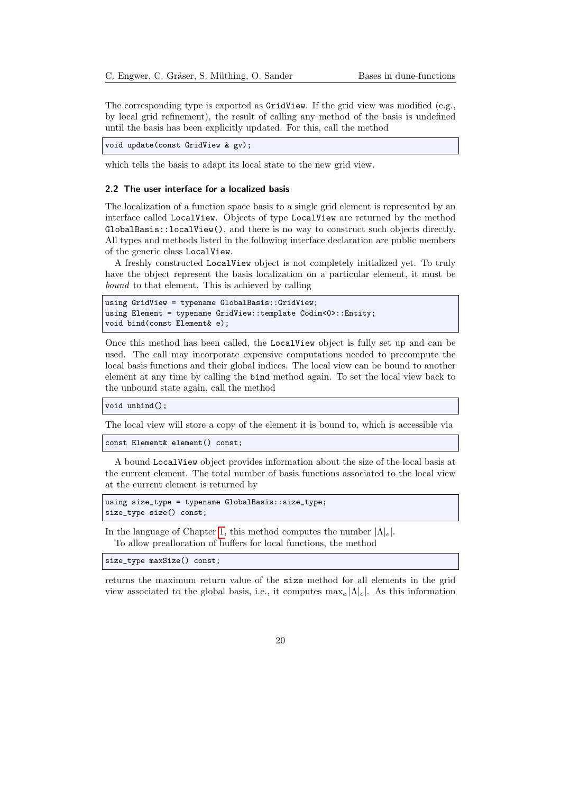The corresponding type is exported as GridView. If the grid view was modified (e.g., by local grid refinement), the result of calling any method of the basis is undefined until the basis has been explicitly updated. For this, call the method

void update(const GridView & gv);

which tells the basis to adapt its local state to the new grid view.

## <span id="page-19-0"></span>2.2 The user interface for a localized basis

The localization of a function space basis to a single grid element is represented by an interface called LocalView. Objects of type LocalView are returned by the method GlobalBasis::localView(), and there is no way to construct such objects directly. All types and methods listed in the following interface declaration are public members of the generic class LocalView.

A freshly constructed LocalView object is not completely initialized yet. To truly have the object represent the basis localization on a particular element, it must be bound to that element. This is achieved by calling

```
using GridView = typename GlobalBasis::GridView;
using Element = typename GridView::template Codim<0>::Entity;
void bind(const Element& e);
```
Once this method has been called, the LocalView object is fully set up and can be used. The call may incorporate expensive computations needed to precompute the local basis functions and their global indices. The local view can be bound to another element at any time by calling the bind method again. To set the local view back to the unbound state again, call the method

void unbind();

The local view will store a copy of the element it is bound to, which is accessible via

const Element& element() const;

A bound LocalView object provides information about the size of the local basis at the current element. The total number of basis functions associated to the local view at the current element is returned by

```
using size_type = typename GlobalBasis::size_type;
size_type size() const;
```
In the language of Chapter [1,](#page-3-0) this method computes the number  $|\Lambda|_e$ . To allow preallocation of buffers for local functions, the method

size\_type maxSize() const;

returns the maximum return value of the size method for all elements in the grid view associated to the global basis, i.e., it computes  $\max_{e} |\Lambda|_{e}$ . As this information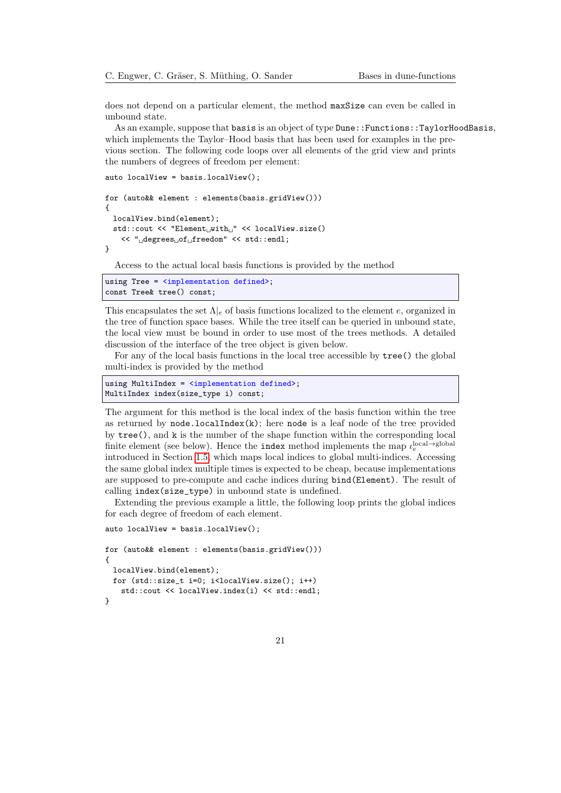does not depend on a particular element, the method maxSize can even be called in unbound state.

As an example, suppose that basis is an object of type Dune::Functions::TaylorHoodBasis, which implements the Taylor–Hood basis that has been used for examples in the previous section. The following code loops over all elements of the grid view and prints the numbers of degrees of freedom per element:

```
auto localView = basis.localView();
```

```
for (auto&& element : elements(basis.gridView()))
\mathcal{F}localView.bind(element);
  \texttt{std::count} \; \texttt{<<} \; \texttt{"Element\_with\_"} \; \texttt{<<} \; \texttt{localView.size()}<< "
degrees
of
freedom" << std::endl;
}
```
Access to the actual local basis functions is provided by the method

```
using Tree = \langleimplementation defined>;
const Tree& tree() const;
```
This encapsulates the set  $\Lambda|_e$  of basis functions localized to the element e, organized in the tree of function space bases. While the tree itself can be queried in unbound state, the local view must be bound in order to use most of the trees methods. A detailed discussion of the interface of the tree object is given below.

For any of the local basis functions in the local tree accessible by tree() the global multi-index is provided by the method

```
using MultiIndex = <implementation defined>;
MultiIndex index(size_type i) const;
```
The argument for this method is the local index of the basis function within the tree as returned by  $node.loadIndex(k)$ ; here node is a leaf node of the tree provided by tree(), and k is the number of the shape function within the corresponding local finite element (see below). Hence the **index** method implements the map  $\iota_e^{\text{local}\rightarrow\text{global}}$ introduced in Section [1.5,](#page-15-0) which maps local indices to global multi-indices. Accessing the same global index multiple times is expected to be cheap, because implementations are supposed to pre-compute and cache indices during bind(Element). The result of calling index(size\_type) in unbound state is undefined.

Extending the previous example a little, the following loop prints the global indices for each degree of freedom of each element.

```
auto localView = basis.localView();
```

```
for (auto&& element : elements(basis.gridView()))
{
 localView.bind(element);
 for (std::size_t i=0; i<localView.size(); i++)
   std::cout << localView.index(i) << std::endl;
}
```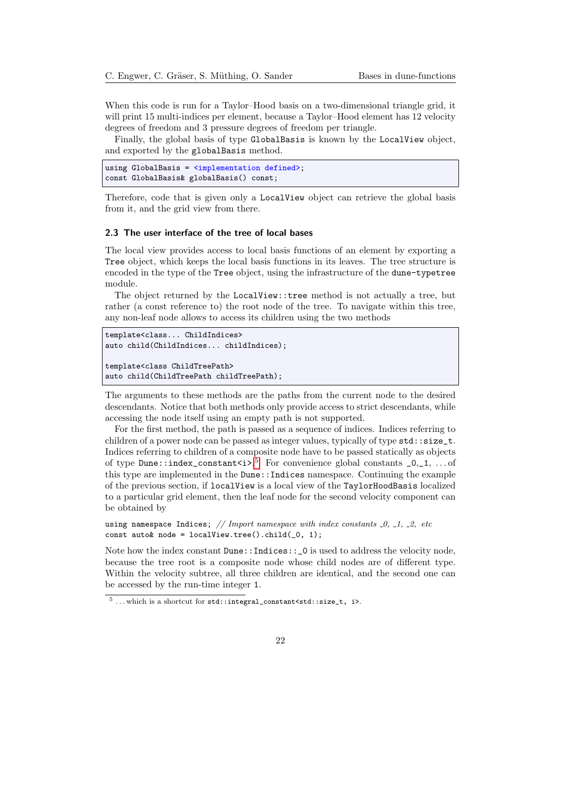When this code is run for a Taylor–Hood basis on a two-dimensional triangle grid, it will print 15 multi-indices per element, because a Taylor–Hood element has 12 velocity degrees of freedom and 3 pressure degrees of freedom per triangle.

Finally, the global basis of type GlobalBasis is known by the LocalView object, and exported by the globalBasis method.

```
using GlobalBasis = <implementation defined>;
const GlobalBasis& globalBasis() const;
```
Therefore, code that is given only a LocalView object can retrieve the global basis from it, and the grid view from there.

## <span id="page-21-0"></span>2.3 The user interface of the tree of local bases

The local view provides access to local basis functions of an element by exporting a Tree object, which keeps the local basis functions in its leaves. The tree structure is encoded in the type of the Tree object, using the infrastructure of the dune-typetree module.

The object returned by the LocalView::tree method is not actually a tree, but rather (a const reference to) the root node of the tree. To navigate within this tree, any non-leaf node allows to access its children using the two methods

```
template<class... ChildIndices>
auto child(ChildIndices... childIndices);
template<class ChildTreePath>
auto child(ChildTreePath childTreePath);
```
The arguments to these methods are the paths from the current node to the desired descendants. Notice that both methods only provide access to strict descendants, while accessing the node itself using an empty path is not supported.

For the first method, the path is passed as a sequence of indices. Indices referring to children of a power node can be passed as integer values, typically of type std: : size\_t. Indices referring to children of a composite node have to be passed statically as objects of type Dune::index\_constant<i>.<sup>[5](#page-21-1)</sup> For convenience global constants  $\Box 0, \Box 1, \ldots$  of this type are implemented in the Dune::Indices namespace. Continuing the example of the previous section, if localView is a local view of the TaylorHoodBasis localized to a particular grid element, then the leaf node for the second velocity component can be obtained by

```
using namespace Indices; // Import namespace with index constants .0, .1, .2, etcconst auto& node = localView.tree().child(_0, 1);
```
Note how the index constant Dune::Indices::\_0 is used to address the velocity node, because the tree root is a composite node whose child nodes are of different type. Within the velocity subtree, all three children are identical, and the second one can be accessed by the run-time integer 1.

<span id="page-21-1"></span> $5...$  which is a shortcut for std::integral\_constant<std::size\_t, i>.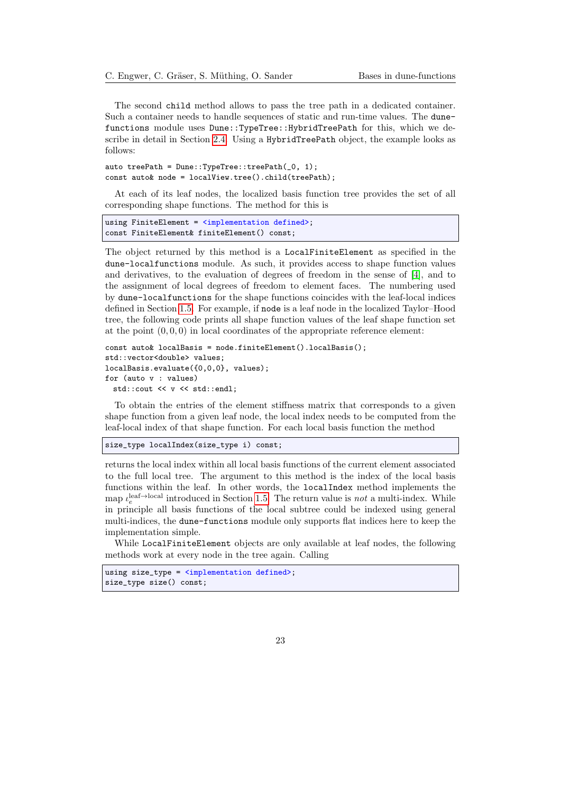The second child method allows to pass the tree path in a dedicated container. Such a container needs to handle sequences of static and run-time values. The dunefunctions module uses Dune::TypeTree::HybridTreePath for this, which we describe in detail in Section [2.4.](#page-23-0) Using a HybridTreePath object, the example looks as follows:

```
auto treePath = Dune::TypeTree::treePath(_0, 1);
const auto& node = localView.tree().child(treePath);
```
At each of its leaf nodes, the localized basis function tree provides the set of all corresponding shape functions. The method for this is

```
using FiniteElement = <implementation defined>;
const FiniteElement& finiteElement() const;
```
The object returned by this method is a LocalFiniteElement as specified in the dune-localfunctions module. As such, it provides access to shape function values and derivatives, to the evaluation of degrees of freedom in the sense of [\[4\]](#page-52-8), and to the assignment of local degrees of freedom to element faces. The numbering used by dune-localfunctions for the shape functions coincides with the leaf-local indices defined in Section [1.5.](#page-15-0) For example, if node is a leaf node in the localized Taylor–Hood tree, the following code prints all shape function values of the leaf shape function set at the point  $(0, 0, 0)$  in local coordinates of the appropriate reference element:

```
const auto& localBasis = node.finiteElement().localBasis();
std::vector<double> values;
localBasis.evaluate({0,0,0}, values);
for (auto v : values)
 std::cout << v << std::endl;
```
To obtain the entries of the element stiffness matrix that corresponds to a given shape function from a given leaf node, the local index needs to be computed from the leaf-local index of that shape function. For each local basis function the method

```
size_type localIndex(size_type i) const;
```
returns the local index within all local basis functions of the current element associated to the full local tree. The argument to this method is the index of the local basis functions within the leaf. In other words, the localIndex method implements the map  $\iota_e^{\text{leaf}\to \text{local}}$  introduced in Section [1.5.](#page-15-0) The return value is *not* a multi-index. While in principle all basis functions of the local subtree could be indexed using general multi-indices, the dune-functions module only supports flat indices here to keep the implementation simple.

While LocalFiniteElement objects are only available at leaf nodes, the following methods work at every node in the tree again. Calling

```
using size_type = <implementation defined>;
size_type size() const;
```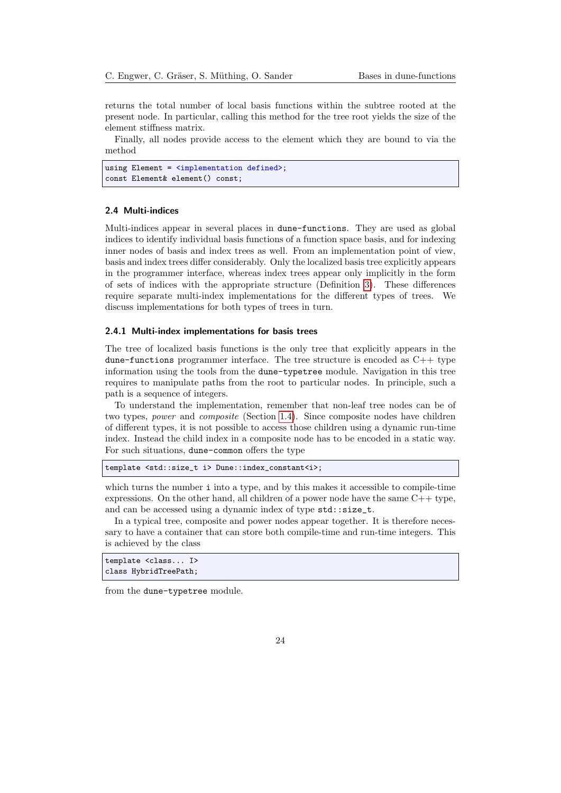returns the total number of local basis functions within the subtree rooted at the present node. In particular, calling this method for the tree root yields the size of the element stiffness matrix.

Finally, all nodes provide access to the element which they are bound to via the method

```
using Element = <implementation defined>;
const Element& element() const;
```
#### <span id="page-23-0"></span>2.4 Multi-indices

Multi-indices appear in several places in dune-functions. They are used as global indices to identify individual basis functions of a function space basis, and for indexing inner nodes of basis and index trees as well. From an implementation point of view, basis and index trees differ considerably. Only the localized basis tree explicitly appears in the programmer interface, whereas index trees appear only implicitly in the form of sets of indices with the appropriate structure (Definition [3\)](#page-8-3). These differences require separate multi-index implementations for the different types of trees. We discuss implementations for both types of trees in turn.

## 2.4.1 Multi-index implementations for basis trees

The tree of localized basis functions is the only tree that explicitly appears in the dune-functions programmer interface. The tree structure is encoded as C++ type information using the tools from the dune-typetree module. Navigation in this tree requires to manipulate paths from the root to particular nodes. In principle, such a path is a sequence of integers.

To understand the implementation, remember that non-leaf tree nodes can be of two types, power and composite (Section [1.4\)](#page-10-0). Since composite nodes have children of different types, it is not possible to access those children using a dynamic run-time index. Instead the child index in a composite node has to be encoded in a static way. For such situations, dune-common offers the type

```
template <std::size_t i> Dune::index_constant<i>;
```
which turns the number i into a type, and by this makes it accessible to compile-time expressions. On the other hand, all children of a power node have the same  $C++$  type, and can be accessed using a dynamic index of type std::size\_t.

In a typical tree, composite and power nodes appear together. It is therefore necessary to have a container that can store both compile-time and run-time integers. This is achieved by the class

```
template <class... I>
class HybridTreePath;
```
from the dune-typetree module.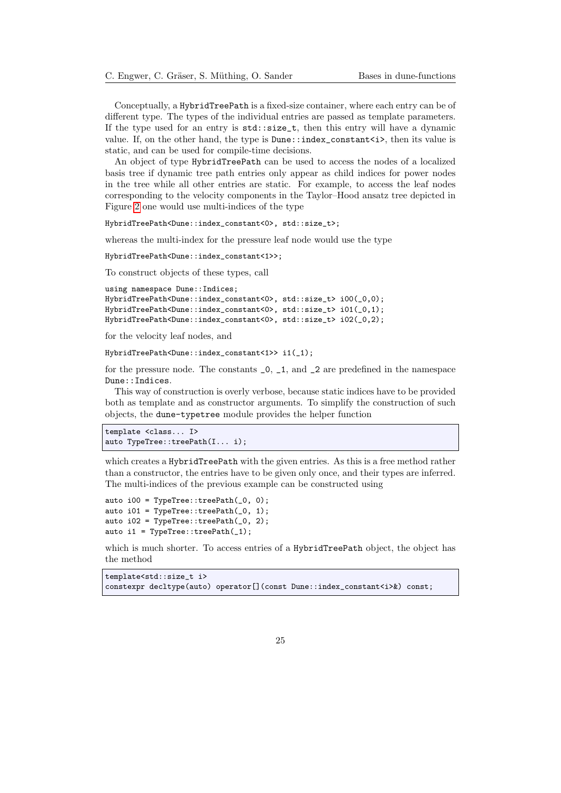Conceptually, a HybridTreePath is a fixed-size container, where each entry can be of different type. The types of the individual entries are passed as template parameters. If the type used for an entry is std::size\_t, then this entry will have a dynamic value. If, on the other hand, the type is  $Dune::index\_constant*,*$  then its value is static, and can be used for compile-time decisions.

An object of type HybridTreePath can be used to access the nodes of a localized basis tree if dynamic tree path entries only appear as child indices for power nodes in the tree while all other entries are static. For example, to access the leaf nodes corresponding to the velocity components in the Taylor–Hood ansatz tree depicted in Figure [2](#page-6-2) one would use multi-indices of the type

HybridTreePath<Dune::index\_constant<0>, std::size\_t>;

whereas the multi-index for the pressure leaf node would use the type

HybridTreePath<Dune::index\_constant<1>>;

To construct objects of these types, call

using namespace Dune::Indices; HybridTreePath<Dune::index constant<0>, std::size t> i00( $0.0$ ); HybridTreePath<Dune::index\_constant<0>, std::size\_t> i01(\_0,1); HybridTreePath<Dune::index\_constant<0>, std::size\_t> i02(\_0,2);

for the velocity leaf nodes, and

HybridTreePath<Dune::index\_constant<1>> i1(\_1);

for the pressure node. The constants  $\overline{\phantom{0}}$ ,  $\overline{\phantom{0}}$ , and  $\overline{\phantom{0}}$  are predefined in the namespace Dune::Indices.

This way of construction is overly verbose, because static indices have to be provided both as template and as constructor arguments. To simplify the construction of such objects, the dune-typetree module provides the helper function

template <class... I> auto TypeTree::treePath(I... i);

which creates a HybridTreePath with the given entries. As this is a free method rather than a constructor, the entries have to be given only once, and their types are inferred. The multi-indices of the previous example can be constructed using

```
auto i00 = TypeTree::treePath(0, 0);auto i01 = TypeTree::treePath(0, 1);
auto i02 = TypeTree::treePath(_0, 2);
auto i1 = TypeTree::treePath(1);
```
which is much shorter. To access entries of a HybridTreePath object, the object has the method

```
template<std::size_t i>
constexpr decltype(auto) operator[](const Dune::index_constant<i>&) const;
```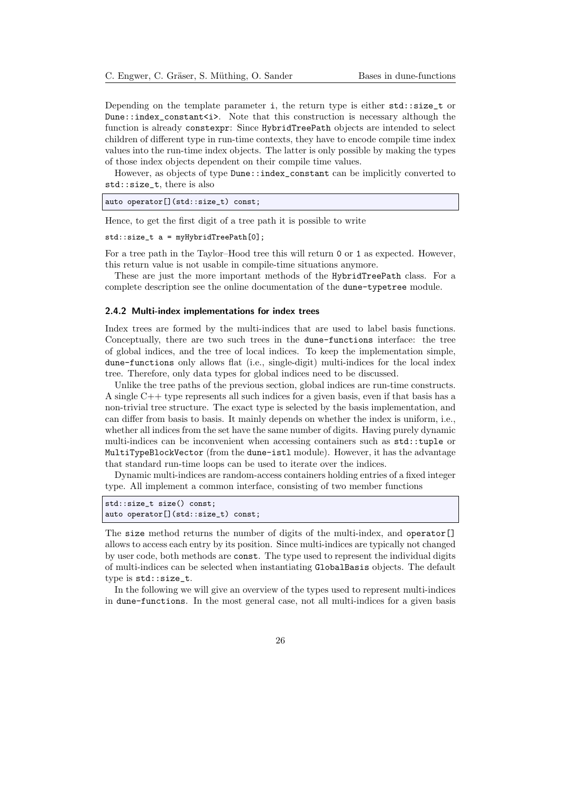Depending on the template parameter i, the return type is either std::size\_t or Dune::index\_constant<i>. Note that this construction is necessary although the function is already constexpr: Since HybridTreePath objects are intended to select children of different type in run-time contexts, they have to encode compile time index values into the run-time index objects. The latter is only possible by making the types of those index objects dependent on their compile time values.

However, as objects of type Dune::index\_constant can be implicitly converted to std::size\_t, there is also

```
auto operator[](std::size_t) const;
```
Hence, to get the first digit of a tree path it is possible to write

```
std::size_t a = myHybridTreePath[0];
```
For a tree path in the Taylor–Hood tree this will return 0 or 1 as expected. However, this return value is not usable in compile-time situations anymore.

These are just the more important methods of the HybridTreePath class. For a complete description see the online documentation of the dune-typetree module.

#### <span id="page-25-0"></span>2.4.2 Multi-index implementations for index trees

Index trees are formed by the multi-indices that are used to label basis functions. Conceptually, there are two such trees in the dune-functions interface: the tree of global indices, and the tree of local indices. To keep the implementation simple, dune-functions only allows flat (i.e., single-digit) multi-indices for the local index tree. Therefore, only data types for global indices need to be discussed.

Unlike the tree paths of the previous section, global indices are run-time constructs. A single C++ type represents all such indices for a given basis, even if that basis has a non-trivial tree structure. The exact type is selected by the basis implementation, and can differ from basis to basis. It mainly depends on whether the index is uniform, i.e., whether all indices from the set have the same number of digits. Having purely dynamic multi-indices can be inconvenient when accessing containers such as std::tuple or MultiTypeBlockVector (from the dune-istl module). However, it has the advantage that standard run-time loops can be used to iterate over the indices.

Dynamic multi-indices are random-access containers holding entries of a fixed integer type. All implement a common interface, consisting of two member functions

```
std::size_t size() const;
auto operator[](std::size_t) const;
```
The size method returns the number of digits of the multi-index, and operator[] allows to access each entry by its position. Since multi-indices are typically not changed by user code, both methods are const. The type used to represent the individual digits of multi-indices can be selected when instantiating GlobalBasis objects. The default type is std::size\_t.

In the following we will give an overview of the types used to represent multi-indices in dune-functions. In the most general case, not all multi-indices for a given basis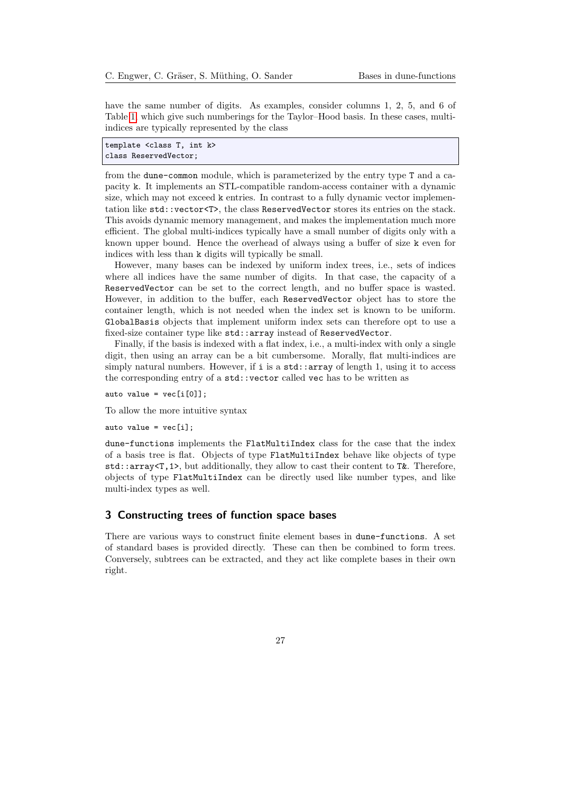have the same number of digits. As examples, consider columns 1, 2, 5, and 6 of Table [1,](#page-14-0) which give such numberings for the Taylor–Hood basis. In these cases, multiindices are typically represented by the class

template <class T, int k> class ReservedVector;

from the dune-common module, which is parameterized by the entry type T and a capacity k. It implements an STL-compatible random-access container with a dynamic size, which may not exceed k entries. In contrast to a fully dynamic vector implementation like std::vector<T>, the class ReservedVector stores its entries on the stack. This avoids dynamic memory management, and makes the implementation much more efficient. The global multi-indices typically have a small number of digits only with a known upper bound. Hence the overhead of always using a buffer of size k even for indices with less than k digits will typically be small.

However, many bases can be indexed by uniform index trees, i.e., sets of indices where all indices have the same number of digits. In that case, the capacity of a ReservedVector can be set to the correct length, and no buffer space is wasted. However, in addition to the buffer, each ReservedVector object has to store the container length, which is not needed when the index set is known to be uniform. GlobalBasis objects that implement uniform index sets can therefore opt to use a fixed-size container type like std::array instead of ReservedVector.

Finally, if the basis is indexed with a flat index, i.e., a multi-index with only a single digit, then using an array can be a bit cumbersome. Morally, flat multi-indices are simply natural numbers. However, if  $i$  is a std::array of length 1, using it to access the corresponding entry of a std::vector called vec has to be written as

auto value =  $vec[i[0]]$ ;

To allow the more intuitive syntax

auto value =  $vec[i]$ ;

dune-functions implements the FlatMultiIndex class for the case that the index of a basis tree is flat. Objects of type FlatMultiIndex behave like objects of type std::array<T,1>, but additionally, they allow to cast their content to T&. Therefore, objects of type FlatMultiIndex can be directly used like number types, and like multi-index types as well.

## <span id="page-26-0"></span>3 Constructing trees of function space bases

There are various ways to construct finite element bases in dune-functions. A set of standard bases is provided directly. These can then be combined to form trees. Conversely, subtrees can be extracted, and they act like complete bases in their own right.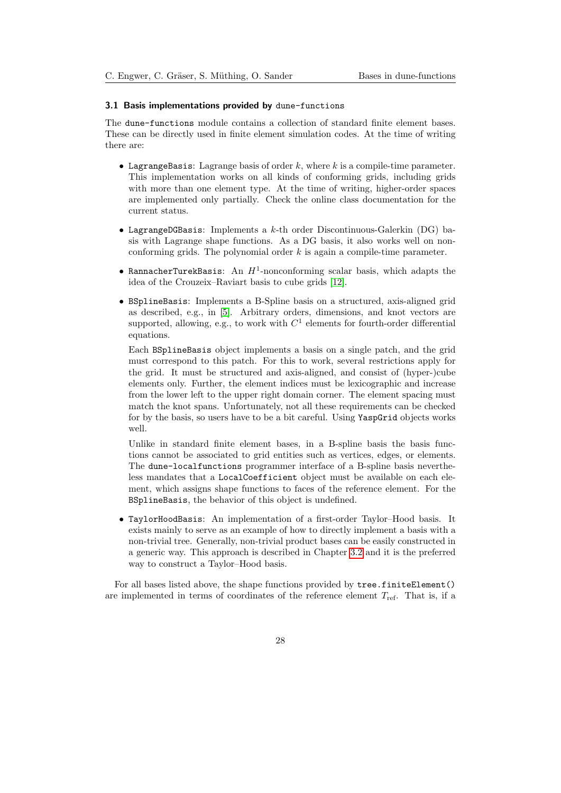## <span id="page-27-0"></span>3.1 Basis implementations provided by dune-functions

The dune-functions module contains a collection of standard finite element bases. These can be directly used in finite element simulation codes. At the time of writing there are:

- LagrangeBasis: Lagrange basis of order  $k$ , where  $k$  is a compile-time parameter. This implementation works on all kinds of conforming grids, including grids with more than one element type. At the time of writing, higher-order spaces are implemented only partially. Check the online class documentation for the current status.
- $\bullet$  LagrangeDGBasis: Implements a k-th order Discontinuous-Galerkin (DG) basis with Lagrange shape functions. As a DG basis, it also works well on nonconforming grids. The polynomial order  $k$  is again a compile-time parameter.
- RannacherTurekBasis: An  $H^1$ -nonconforming scalar basis, which adapts the idea of the Crouzeix–Raviart basis to cube grids [\[12\]](#page-52-9).
- BSplineBasis: Implements a B-Spline basis on a structured, axis-aligned grid as described, e.g., in [\[5\]](#page-52-10). Arbitrary orders, dimensions, and knot vectors are supported, allowing, e.g., to work with  $C<sup>1</sup>$  elements for fourth-order differential equations.

Each BSplineBasis object implements a basis on a single patch, and the grid must correspond to this patch. For this to work, several restrictions apply for the grid. It must be structured and axis-aligned, and consist of (hyper-)cube elements only. Further, the element indices must be lexicographic and increase from the lower left to the upper right domain corner. The element spacing must match the knot spans. Unfortunately, not all these requirements can be checked for by the basis, so users have to be a bit careful. Using YaspGrid objects works well.

Unlike in standard finite element bases, in a B-spline basis the basis functions cannot be associated to grid entities such as vertices, edges, or elements. The dune-localfunctions programmer interface of a B-spline basis nevertheless mandates that a LocalCoefficient object must be available on each element, which assigns shape functions to faces of the reference element. For the BSplineBasis, the behavior of this object is undefined.

• TaylorHoodBasis: An implementation of a first-order Taylor–Hood basis. It exists mainly to serve as an example of how to directly implement a basis with a non-trivial tree. Generally, non-trivial product bases can be easily constructed in a generic way. This approach is described in Chapter [3.2](#page-28-0) and it is the preferred way to construct a Taylor–Hood basis.

For all bases listed above, the shape functions provided by tree.finiteElement() are implemented in terms of coordinates of the reference element  $T_{\text{ref}}$ . That is, if a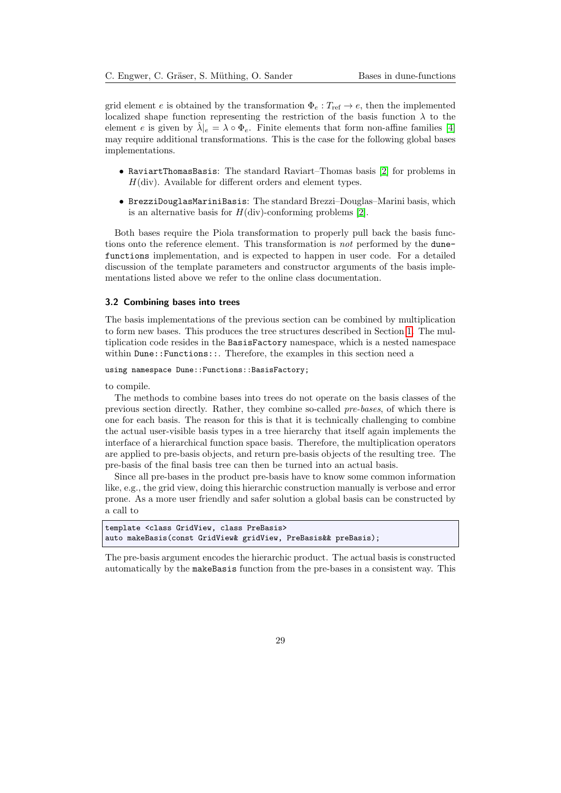grid element  $e$  is obtained by the transformation  $\Phi_e: T_{\text{ref}} \to e$ , then the implemented localized shape function representing the restriction of the basis function  $\lambda$  to the element e is given by  $\lambda|_e = \lambda \circ \Phi_e$ . Finite elements that form non-affine families [\[4\]](#page-52-8) may require additional transformations. This is the case for the following global bases implementations.

- RaviartThomasBasis: The standard Raviart–Thomas basis [\[2\]](#page-52-11) for problems in  $H$ (div). Available for different orders and element types.
- BrezziDouglasMariniBasis: The standard Brezzi–Douglas–Marini basis, which is an alternative basis for  $H(\text{div})$ -conforming problems [\[2\]](#page-52-11).

Both bases require the Piola transformation to properly pull back the basis functions onto the reference element. This transformation is not performed by the dunefunctions implementation, and is expected to happen in user code. For a detailed discussion of the template parameters and constructor arguments of the basis implementations listed above we refer to the online class documentation.

## <span id="page-28-0"></span>3.2 Combining bases into trees

The basis implementations of the previous section can be combined by multiplication to form new bases. This produces the tree structures described in Section [1.](#page-3-0) The multiplication code resides in the BasisFactory namespace, which is a nested namespace within Dune::Functions::. Therefore, the examples in this section need a

using namespace Dune::Functions::BasisFactory;

to compile.

The methods to combine bases into trees do not operate on the basis classes of the previous section directly. Rather, they combine so-called pre-bases, of which there is one for each basis. The reason for this is that it is technically challenging to combine the actual user-visible basis types in a tree hierarchy that itself again implements the interface of a hierarchical function space basis. Therefore, the multiplication operators are applied to pre-basis objects, and return pre-basis objects of the resulting tree. The pre-basis of the final basis tree can then be turned into an actual basis.

Since all pre-bases in the product pre-basis have to know some common information like, e.g., the grid view, doing this hierarchic construction manually is verbose and error prone. As a more user friendly and safer solution a global basis can be constructed by a call to

```
template <class GridView, class PreBasis>
auto makeBasis(const GridView& gridView, PreBasis&& preBasis);
```
The pre-basis argument encodes the hierarchic product. The actual basis is constructed automatically by the makeBasis function from the pre-bases in a consistent way. This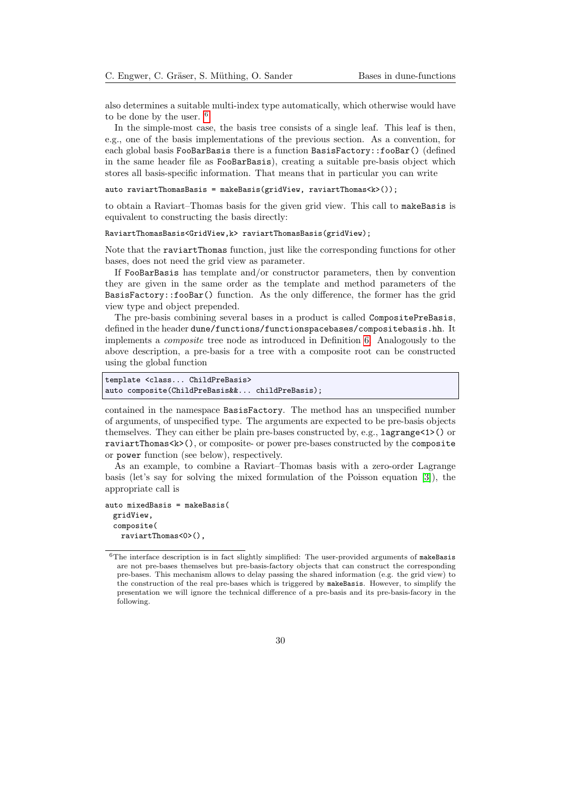also determines a suitable multi-index type automatically, which otherwise would have to be done by the user. [6](#page-29-0)

In the simple-most case, the basis tree consists of a single leaf. This leaf is then, e.g., one of the basis implementations of the previous section. As a convention, for each global basis FooBarBasis there is a function BasisFactory::fooBar() (defined in the same header file as FooBarBasis), creating a suitable pre-basis object which stores all basis-specific information. That means that in particular you can write

auto raviartThomasBasis = makeBasis(gridView, raviartThomas<k>());

to obtain a Raviart–Thomas basis for the given grid view. This call to makeBasis is equivalent to constructing the basis directly:

RaviartThomasBasis<GridView,k> raviartThomasBasis(gridView);

Note that the raviartThomas function, just like the corresponding functions for other bases, does not need the grid view as parameter.

If FooBarBasis has template and/or constructor parameters, then by convention they are given in the same order as the template and method parameters of the BasisFactory::fooBar() function. As the only difference, the former has the grid view type and object prepended.

The pre-basis combining several bases in a product is called CompositePreBasis, defined in the header dune/functions/functionspacebases/compositebasis.hh. It implements a composite tree node as introduced in Definition [6.](#page-11-0) Analogously to the above description, a pre-basis for a tree with a composite root can be constructed using the global function

```
template <class... ChildPreBasis>
auto composite(ChildPreBasis&&... childPreBasis);
```
contained in the namespace BasisFactory. The method has an unspecified number of arguments, of unspecified type. The arguments are expected to be pre-basis objects themselves. They can either be plain pre-bases constructed by, e.g., lagrange<1>() or raviartThomas $\langle k \rangle$ (), or composite- or power pre-bases constructed by the composite or power function (see below), respectively.

As an example, to combine a Raviart–Thomas basis with a zero-order Lagrange basis (let's say for solving the mixed formulation of the Poisson equation [\[3\]](#page-52-1)), the appropriate call is

```
auto mixedBasis = makeBasis(
 gridView,
 composite(
   raviartThomas<0>(),
```
<span id="page-29-0"></span> $6$ The interface description is in fact slightly simplified: The user-provided arguments of makeBasis are not pre-bases themselves but pre-basis-factory objects that can construct the corresponding pre-bases. This mechanism allows to delay passing the shared information (e.g. the grid view) to the construction of the real pre-bases which is triggered by makeBasis. However, to simplify the presentation we will ignore the technical difference of a pre-basis and its pre-basis-facory in the following.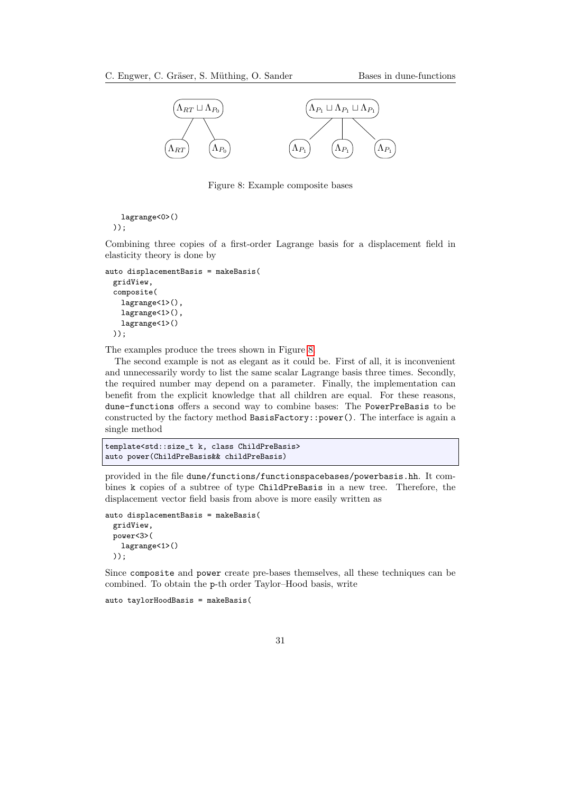

<span id="page-30-0"></span>Figure 8: Example composite bases

```
lagrange<0>()
));
```
Combining three copies of a first-order Lagrange basis for a displacement field in elasticity theory is done by

```
auto displacementBasis = makeBasis(
 gridView,
 composite(
   lagrange<1>(),
   lagrange<1>(),
   lagrange<1>()
 ));
```
The examples produce the trees shown in Figure [8.](#page-30-0)

The second example is not as elegant as it could be. First of all, it is inconvenient and unnecessarily wordy to list the same scalar Lagrange basis three times. Secondly, the required number may depend on a parameter. Finally, the implementation can benefit from the explicit knowledge that all children are equal. For these reasons, dune-functions offers a second way to combine bases: The PowerPreBasis to be constructed by the factory method BasisFactory::power(). The interface is again a single method

```
template<std::size_t k, class ChildPreBasis>
auto power(ChildPreBasis&& childPreBasis)
```
provided in the file dune/functions/functionspacebases/powerbasis.hh. It combines k copies of a subtree of type ChildPreBasis in a new tree. Therefore, the displacement vector field basis from above is more easily written as

```
auto displacementBasis = makeBasis(
 gridView,
 power<3>(
   lagrange<1>()
 ));
```
Since composite and power create pre-bases themselves, all these techniques can be combined. To obtain the p-th order Taylor–Hood basis, write

auto taylorHoodBasis = makeBasis(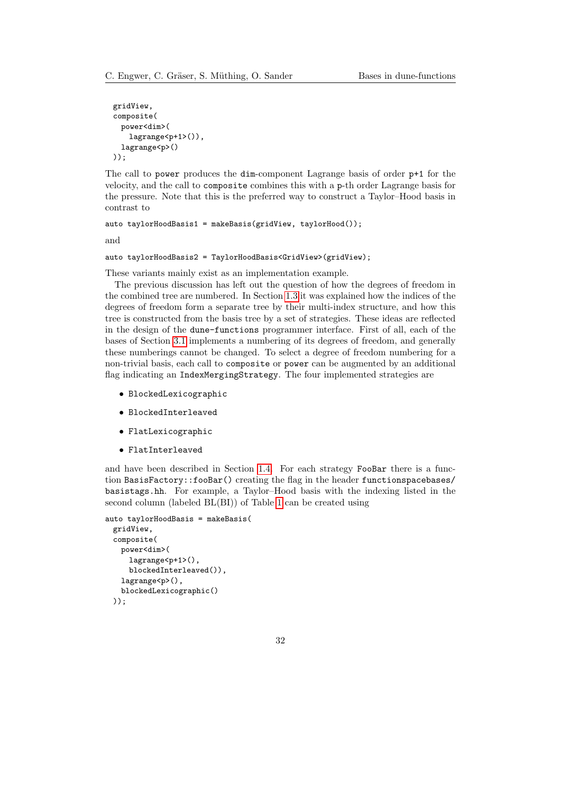```
gridView,
composite(
 power<dim>(
   lagrange<p+1>()),
  lagrange<p>()
));
```
The call to power produces the dim-component Lagrange basis of order p+1 for the velocity, and the call to composite combines this with a p-th order Lagrange basis for the pressure. Note that this is the preferred way to construct a Taylor–Hood basis in contrast to

```
auto taylorHoodBasis1 = makeBasis(gridView, taylorHood());
```
and

```
auto taylorHoodBasis2 = TaylorHoodBasis<GridView>(gridView);
```
These variants mainly exist as an implementation example.

The previous discussion has left out the question of how the degrees of freedom in the combined tree are numbered. In Section [1.3](#page-6-0) it was explained how the indices of the degrees of freedom form a separate tree by their multi-index structure, and how this tree is constructed from the basis tree by a set of strategies. These ideas are reflected in the design of the dune-functions programmer interface. First of all, each of the bases of Section [3.1](#page-27-0) implements a numbering of its degrees of freedom, and generally these numberings cannot be changed. To select a degree of freedom numbering for a non-trivial basis, each call to composite or power can be augmented by an additional flag indicating an IndexMergingStrategy. The four implemented strategies are

- BlockedLexicographic
- BlockedInterleaved
- FlatLexicographic
- FlatInterleaved

and have been described in Section [1.4.](#page-10-0) For each strategy FooBar there is a function BasisFactory::fooBar() creating the flag in the header functionspacebases/ basistags.hh. For example, a Taylor–Hood basis with the indexing listed in the second column (labeled BL(BI)) of Table [1](#page-14-0) can be created using

```
auto taylorHoodBasis = makeBasis(
 gridView,
 composite(
   power<dim>(
     lagrange<p+1>(),
     blockedInterleaved()),
   lagrange<p>(),
   blockedLexicographic()
 ));
```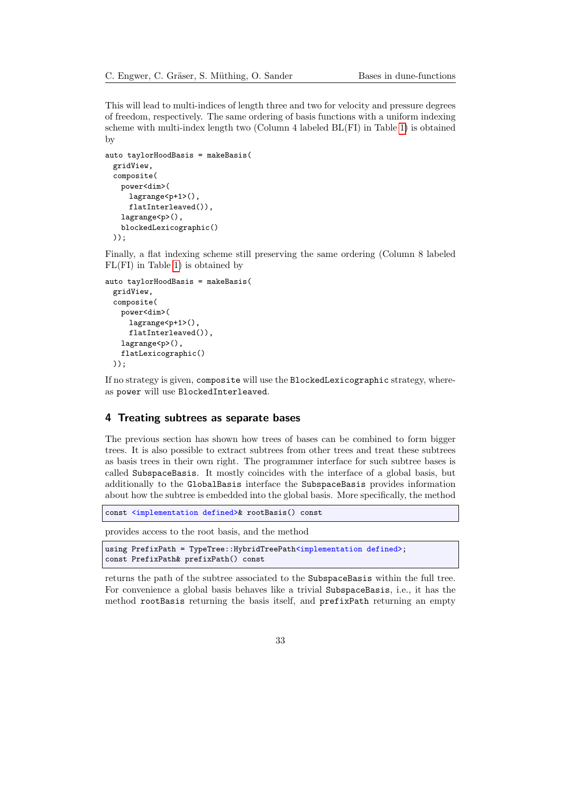This will lead to multi-indices of length three and two for velocity and pressure degrees of freedom, respectively. The same ordering of basis functions with a uniform indexing scheme with multi-index length two (Column 4 labeled BL(FI) in Table [1\)](#page-14-0) is obtained by

```
auto taylorHoodBasis = makeBasis(
 gridView,
 composite(
   power<dim>(
     lagrange<p+1>(),
     flatInterleaved()),
   lagrange<p>(),
   blockedLexicographic()
 ));
```
Finally, a flat indexing scheme still preserving the same ordering (Column 8 labeled FL(FI) in Table [1\)](#page-14-0) is obtained by

```
auto taylorHoodBasis = makeBasis(
 gridView,
 composite(
   power<dim>(
     lagrange<p+1>(),
     flatInterleaved()),
   lagrange<p>(),
   flatLexicographic()
 ));
```
If no strategy is given, composite will use the BlockedLexicographic strategy, whereas power will use BlockedInterleaved.

## <span id="page-32-0"></span>4 Treating subtrees as separate bases

The previous section has shown how trees of bases can be combined to form bigger trees. It is also possible to extract subtrees from other trees and treat these subtrees as basis trees in their own right. The programmer interface for such subtree bases is called SubspaceBasis. It mostly coincides with the interface of a global basis, but additionally to the GlobalBasis interface the SubspaceBasis provides information about how the subtree is embedded into the global basis. More specifically, the method

const <implementation defined>& rootBasis() const

provides access to the root basis, and the method

```
using PrefixPath = TypeTree::HybridTreePath<implementation defined>;
const PrefixPath& prefixPath() const
```
returns the path of the subtree associated to the SubspaceBasis within the full tree. For convenience a global basis behaves like a trivial SubspaceBasis, i.e., it has the method rootBasis returning the basis itself, and prefixPath returning an empty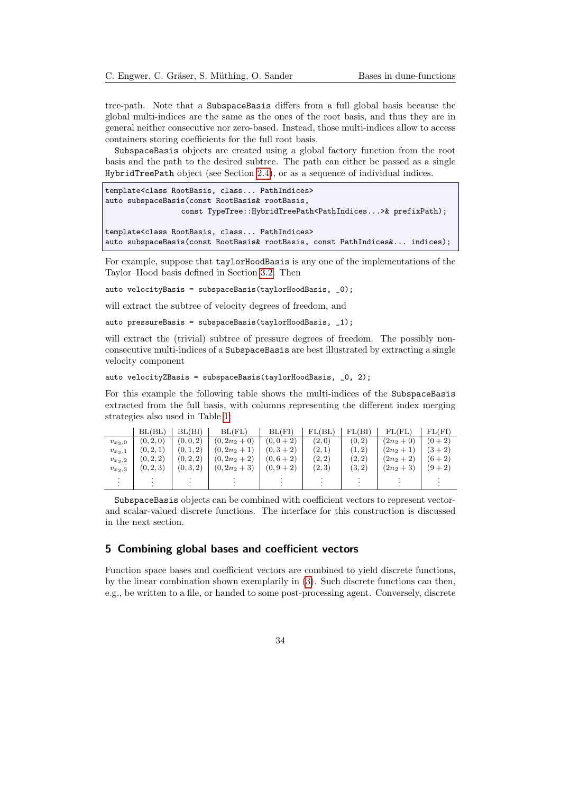tree-path. Note that a SubspaceBasis differs from a full global basis because the global multi-indices are the same as the ones of the root basis, and thus they are in general neither consecutive nor zero-based. Instead, those multi-indices allow to access containers storing coefficients for the full root basis.

SubspaceBasis objects are created using a global factory function from the root basis and the path to the desired subtree. The path can either be passed as a single HybridTreePath object (see Section [2.4\)](#page-23-0), or as a sequence of individual indices.

```
template<class RootBasis, class... PathIndices>
auto subspaceBasis(const RootBasis& rootBasis,
                 const TypeTree::HybridTreePath<PathIndices...>& prefixPath);
template<class RootBasis, class... PathIndices>
auto subspaceBasis(const RootBasis& rootBasis, const PathIndices&... indices);
```
For example, suppose that taylorHoodBasis is any one of the implementations of the Taylor–Hood basis defined in Section [3.2.](#page-28-0) Then

auto velocityBasis = subspaceBasis(taylorHoodBasis, \_0);

will extract the subtree of velocity degrees of freedom, and

auto pressureBasis = subspaceBasis(taylorHoodBasis, \_1);

will extract the (trivial) subtree of pressure degrees of freedom. The possibly nonconsecutive multi-indices of a SubspaceBasis are best illustrated by extracting a single velocity component

```
auto velocityZBasis = subspaceBasis(taylorHoodBasis, _0, 2);
```
For this example the following table shows the multi-indices of the SubspaceBasis extracted from the full basis, with columns representing the different index merging strategies also used in Table [1:](#page-14-0)

|             | BL(BL)    | BL(BI)    | BL(FL)          | BL(FI)       | FL(BL) | .(BI)<br>FL( | FL(FL)       | FL(FI)  |
|-------------|-----------|-----------|-----------------|--------------|--------|--------------|--------------|---------|
| $v_{x_2,0}$ | (0, 2, 0) | (0, 0, 2) | $(0, 2n_2 + 0)$ | $(0, 0 + 2)$ | (2,0)  | (0, 2)       | $(2n_2 + 0)$ | $(0+2)$ |
| $v_{x_2,1}$ | (0, 2, 1) | (0, 1, 2) | $(0, 2n_2 + 1)$ | $(0, 3 + 2)$ | (2,1)  | (1, 2)       | $(2n_2+1)$   | $(3+2)$ |
| $v_{x_2,2}$ | (0, 2, 2) | (0, 2, 2) | $(0, 2n_2 + 2)$ | $(0, 6 + 2)$ | (2, 2) | (2, 2)       | $(2n_2 + 2)$ | $(6+2)$ |
| $v_{x_2,3}$ | (0, 2, 3) | (0, 3, 2) | $(0, 2n_2+3)$   | $(0, 9 + 2)$ | (2,3)  | (3, 2)       | $(2n_2+3)$   | $(9+2)$ |
|             |           |           |                 |              |        |              |              |         |
|             |           |           |                 |              |        |              |              |         |

SubspaceBasis objects can be combined with coefficient vectors to represent vectorand scalar-valued discrete functions. The interface for this construction is discussed in the next section.

# <span id="page-33-0"></span>5 Combining global bases and coefficient vectors

Function space bases and coefficient vectors are combined to yield discrete functions, by the linear combination shown exemplarily in [\(3\)](#page-9-1). Such discrete functions can then, e.g., be written to a file, or handed to some post-processing agent. Conversely, discrete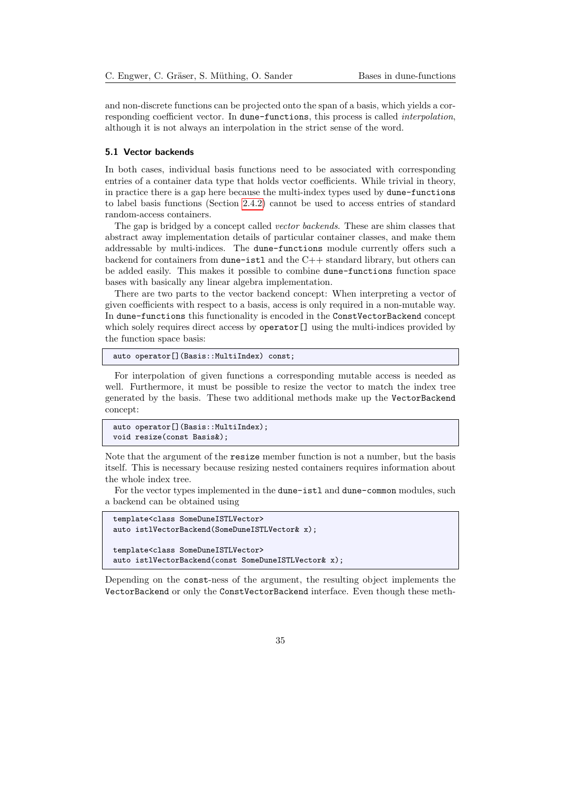and non-discrete functions can be projected onto the span of a basis, which yields a corresponding coefficient vector. In dune-functions, this process is called interpolation, although it is not always an interpolation in the strict sense of the word.

## <span id="page-34-0"></span>5.1 Vector backends

In both cases, individual basis functions need to be associated with corresponding entries of a container data type that holds vector coefficients. While trivial in theory, in practice there is a gap here because the multi-index types used by dune-functions to label basis functions (Section [2.4.2\)](#page-25-0) cannot be used to access entries of standard random-access containers.

The gap is bridged by a concept called vector backends. These are shim classes that abstract away implementation details of particular container classes, and make them addressable by multi-indices. The dune-functions module currently offers such a backend for containers from dune-istl and the C++ standard library, but others can be added easily. This makes it possible to combine dune-functions function space bases with basically any linear algebra implementation.

There are two parts to the vector backend concept: When interpreting a vector of given coefficients with respect to a basis, access is only required in a non-mutable way. In dune-functions this functionality is encoded in the ConstVectorBackend concept which solely requires direct access by operator [] using the multi-indices provided by the function space basis:

```
auto operator[](Basis::MultiIndex) const;
```
For interpolation of given functions a corresponding mutable access is needed as well. Furthermore, it must be possible to resize the vector to match the index tree generated by the basis. These two additional methods make up the VectorBackend concept:

```
auto operator[](Basis::MultiIndex);
void resize(const Basis&);
```
Note that the argument of the resize member function is not a number, but the basis itself. This is necessary because resizing nested containers requires information about the whole index tree.

For the vector types implemented in the dune-istl and dune-common modules, such a backend can be obtained using

```
template<class SomeDuneISTLVector>
auto istlVectorBackend(SomeDuneISTLVector& x);
template<class SomeDuneISTLVector>
auto istlVectorBackend(const SomeDuneISTLVector& x);
```
Depending on the const-ness of the argument, the resulting object implements the VectorBackend or only the ConstVectorBackend interface. Even though these meth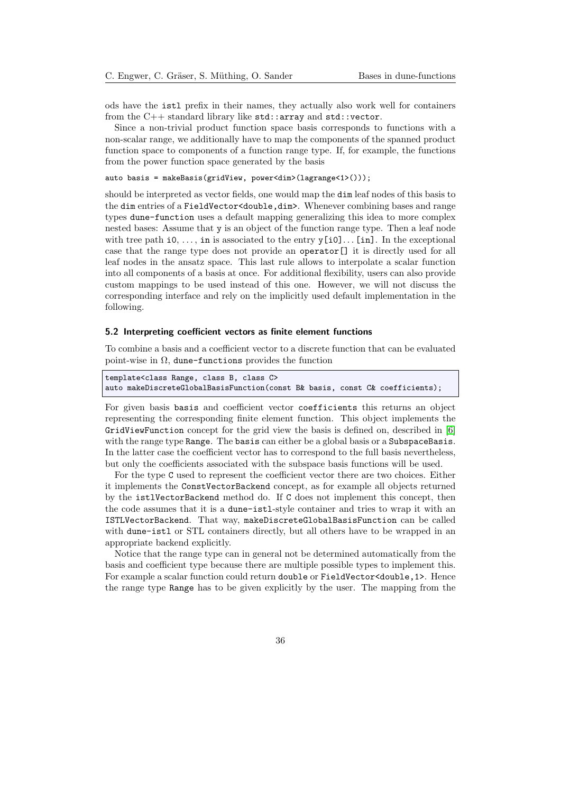ods have the istl prefix in their names, they actually also work well for containers from the C++ standard library like std::array and std::vector.

Since a non-trivial product function space basis corresponds to functions with a non-scalar range, we additionally have to map the components of the spanned product function space to components of a function range type. If, for example, the functions from the power function space generated by the basis

```
auto basis = makeBasis(gridView, power<dim>(lagrange<1>()));
```
should be interpreted as vector fields, one would map the dim leaf nodes of this basis to the dim entries of a FieldVector<double,dim>. Whenever combining bases and range types dune-function uses a default mapping generalizing this idea to more complex nested bases: Assume that y is an object of the function range type. Then a leaf node with tree path io,  $\dots$ , in is associated to the entry y[io]... [in]. In the exceptional case that the range type does not provide an operator[] it is directly used for all leaf nodes in the ansatz space. This last rule allows to interpolate a scalar function into all components of a basis at once. For additional flexibility, users can also provide custom mappings to be used instead of this one. However, we will not discuss the corresponding interface and rely on the implicitly used default implementation in the following.

#### <span id="page-35-0"></span>5.2 Interpreting coefficient vectors as finite element functions

To combine a basis and a coefficient vector to a discrete function that can be evaluated point-wise in  $\Omega$ , dune-functions provides the function

```
template<class Range, class B, class C>
auto makeDiscreteGlobalBasisFunction(const B& basis, const C& coefficients);
```
For given basis basis and coefficient vector coefficients this returns an object representing the corresponding finite element function. This object implements the GridViewFunction concept for the grid view the basis is defined on, described in [\[6\]](#page-52-0) with the range type Range. The basis can either be a global basis or a SubspaceBasis. In the latter case the coefficient vector has to correspond to the full basis nevertheless, but only the coefficients associated with the subspace basis functions will be used.

For the type C used to represent the coefficient vector there are two choices. Either it implements the ConstVectorBackend concept, as for example all objects returned by the istlVectorBackend method do. If C does not implement this concept, then the code assumes that it is a dune-istl-style container and tries to wrap it with an ISTLVectorBackend. That way, makeDiscreteGlobalBasisFunction can be called with dune-istl or STL containers directly, but all others have to be wrapped in an appropriate backend explicitly.

Notice that the range type can in general not be determined automatically from the basis and coefficient type because there are multiple possible types to implement this. For example a scalar function could return double or FieldVector<double,1>. Hence the range type Range has to be given explicitly by the user. The mapping from the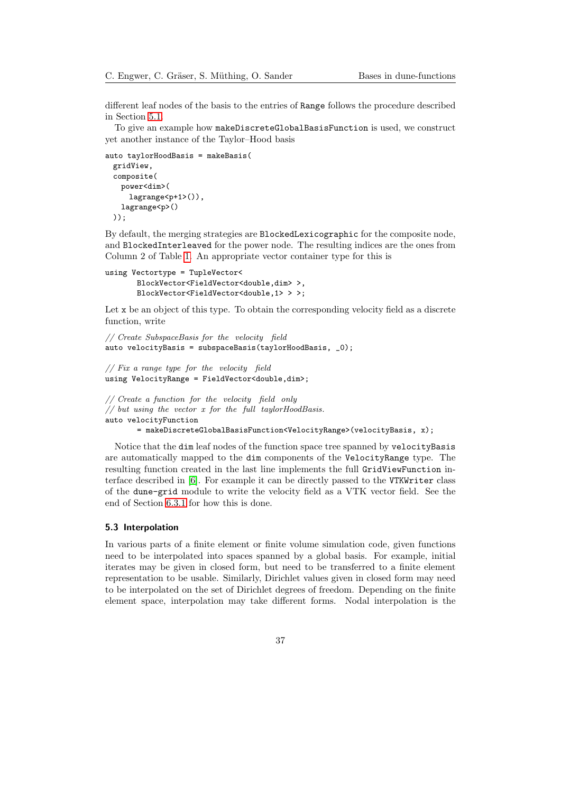different leaf nodes of the basis to the entries of Range follows the procedure described in Section [5.1.](#page-34-0)

To give an example how makeDiscreteGlobalBasisFunction is used, we construct yet another instance of the Taylor–Hood basis

```
auto taylorHoodBasis = makeBasis(
 gridView,
 composite(
   power<dim>(
     lagrange<p+1>()),
   lagrange<p>()
 ));
```
By default, the merging strategies are BlockedLexicographic for the composite node, and BlockedInterleaved for the power node. The resulting indices are the ones from Column 2 of Table [1.](#page-14-0) An appropriate vector container type for this is

```
using Vectortype = TupleVector<
       BlockVector<FieldVector<double,dim> >,
       BlockVector<FieldVector<double,1> > >;
```
Let x be an object of this type. To obtain the corresponding velocity field as a discrete function, write

```
// Create SubspaceBasis for the velocity field
auto velocityBasis = subspaceBasis(taylorHoodBasis, _0);
```

```
// Fix a range type for the velocity field
using VelocityRange = FieldVector<double,dim>;
```

```
// Create a function for the velocity field only
// but using the vector x for the full taylor HoodBasis.
auto velocityFunction
```
= makeDiscreteGlobalBasisFunction<VelocityRange>(velocityBasis, x);

Notice that the dim leaf nodes of the function space tree spanned by velocityBasis are automatically mapped to the dim components of the VelocityRange type. The resulting function created in the last line implements the full GridViewFunction interface described in [\[6\]](#page-52-0). For example it can be directly passed to the VTKWriter class of the dune-grid module to write the velocity field as a VTK vector field. See the end of Section [6.3.1](#page-41-1) for how this is done.

## <span id="page-36-0"></span>5.3 Interpolation

In various parts of a finite element or finite volume simulation code, given functions need to be interpolated into spaces spanned by a global basis. For example, initial iterates may be given in closed form, but need to be transferred to a finite element representation to be usable. Similarly, Dirichlet values given in closed form may need to be interpolated on the set of Dirichlet degrees of freedom. Depending on the finite element space, interpolation may take different forms. Nodal interpolation is the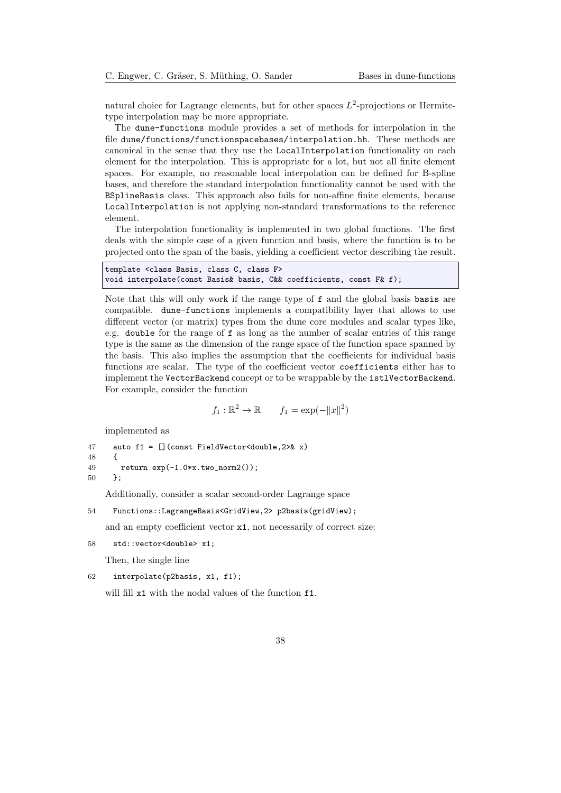natural choice for Lagrange elements, but for other spaces  $L^2$ -projections or Hermitetype interpolation may be more appropriate.

The dune-functions module provides a set of methods for interpolation in the file dune/functions/functionspacebases/interpolation.hh. These methods are canonical in the sense that they use the LocalInterpolation functionality on each element for the interpolation. This is appropriate for a lot, but not all finite element spaces. For example, no reasonable local interpolation can be defined for B-spline bases, and therefore the standard interpolation functionality cannot be used with the BSplineBasis class. This approach also fails for non-affine finite elements, because LocalInterpolation is not applying non-standard transformations to the reference element.

The interpolation functionality is implemented in two global functions. The first deals with the simple case of a given function and basis, where the function is to be projected onto the span of the basis, yielding a coefficient vector describing the result.

```
template <class Basis, class C, class F>
void interpolate(const Basis& basis, C&& coefficients, const F& f);
```
Note that this will only work if the range type of f and the global basis basis are compatible. dune-functions implements a compatibility layer that allows to use different vector (or matrix) types from the dune core modules and scalar types like, e.g. double for the range of f as long as the number of scalar entries of this range type is the same as the dimension of the range space of the function space spanned by the basis. This also implies the assumption that the coefficients for individual basis functions are scalar. The type of the coefficient vector coefficients either has to implement the VectorBackend concept or to be wrappable by the istlVectorBackend. For example, consider the function

$$
f_1: \mathbb{R}^2 \to \mathbb{R} \qquad f_1 = \exp(-\|x\|^2)
$$

implemented as

47 auto f1 = [](const FieldVector<double,2>& x)

```
48 {
49 return exp(-1.0*x.two_norm2());
50 };
```
Additionally, consider a scalar second-order Lagrange space

54 Functions::LagrangeBasis<GridView,2> p2basis(gridView);

and an empty coefficient vector x1, not necessarily of correct size:

58 std::vector<double> x1;

Then, the single line

```
62 interpolate(p2basis, x1, f1);
```
will fill  $x1$  with the nodal values of the function  $f1$ .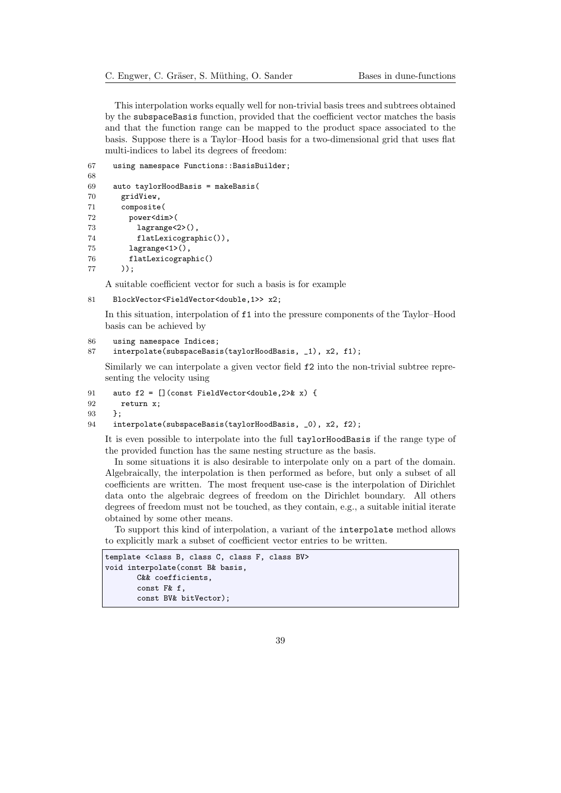This interpolation works equally well for non-trivial basis trees and subtrees obtained by the subspaceBasis function, provided that the coefficient vector matches the basis and that the function range can be mapped to the product space associated to the basis. Suppose there is a Taylor–Hood basis for a two-dimensional grid that uses flat multi-indices to label its degrees of freedom:

```
67 using namespace Functions::BasisBuilder;
68
69 auto taylorHoodBasis = makeBasis(
70 gridView,
71 composite(
72 power<dim>(
73 lagrange<2>(),
74 flatLexicographic()),
75 lagrange<1>(),
76 flatLexicographic()
77 ));
```
A suitable coefficient vector for such a basis is for example

```
81 BlockVector<FieldVector<double, 1>> x2;
```
In this situation, interpolation of f1 into the pressure components of the Taylor–Hood basis can be achieved by

```
86 using namespace Indices;
```

```
87 interpolate(subspaceBasis(taylorHoodBasis, _1), x2, f1);
```
Similarly we can interpolate a given vector field f2 into the non-trivial subtree representing the velocity using

```
91 auto f2 = [] (const FieldVector < double, 2> & x) {
```

```
92 return x;
```

```
93 };
```

```
94 interpolate(subspaceBasis(taylorHoodBasis, _0), x2, f2);
```
It is even possible to interpolate into the full taylorHoodBasis if the range type of the provided function has the same nesting structure as the basis.

In some situations it is also desirable to interpolate only on a part of the domain. Algebraically, the interpolation is then performed as before, but only a subset of all coefficients are written. The most frequent use-case is the interpolation of Dirichlet data onto the algebraic degrees of freedom on the Dirichlet boundary. All others degrees of freedom must not be touched, as they contain, e.g., a suitable initial iterate obtained by some other means.

To support this kind of interpolation, a variant of the interpolate method allows to explicitly mark a subset of coefficient vector entries to be written.

```
template <class B, class C, class F, class BV>
void interpolate(const B& basis,
      C&& coefficients,
       const Fk fconst BV& bitVector);
```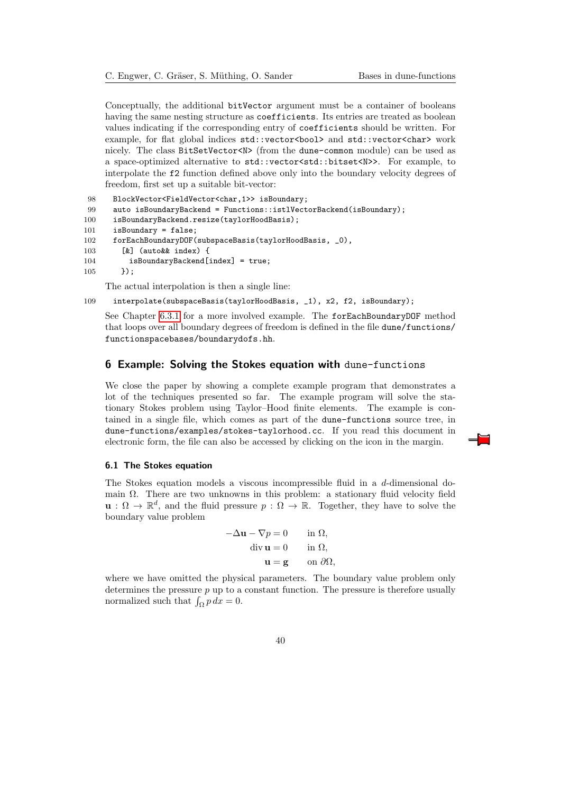Conceptually, the additional bitVector argument must be a container of booleans having the same nesting structure as coefficients. Its entries are treated as boolean values indicating if the corresponding entry of coefficients should be written. For example, for flat global indices std::vector<br/>sol> and std::vector<char> work nicely. The class BitSetVector<N> (from the dune-common module) can be used as a space-optimized alternative to  $std::vectorN>>$ . For example, to interpolate the f2 function defined above only into the boundary velocity degrees of freedom, first set up a suitable bit-vector:

```
98 BlockVector<FieldVector<char,1>> isBoundary;
99 auto isBoundaryBackend = Functions::istlVectorBackend(isBoundary);
100 isBoundaryBackend.resize(taylorHoodBasis);
101 isBoundary = false;
102 forEachBoundaryDOF(subspaceBasis(taylorHoodBasis, _0),
103 [&] (auto&& index) {
104 isBoundaryBackend[index] = true;
105 });
```
The actual interpolation is then a single line:

109 interpolate(subspaceBasis(taylorHoodBasis, \_1), x2, f2, isBoundary);

See Chapter [6.3.1](#page-41-1) for a more involved example. The forEachBoundaryDOF method that loops over all boundary degrees of freedom is defined in the file dune/functions/ functionspacebases/boundarydofs.hh.

## <span id="page-39-0"></span>6 Example: Solving the Stokes equation with dune-functions

We close the paper by showing a complete example program that demonstrates a lot of the techniques presented so far. The example program will solve the stationary Stokes problem using Taylor–Hood finite elements. The example is contained in a single file, which comes as part of the dune-functions source tree, in dune-functions/examples/stokes-taylorhood.cc. If you read this document in electronic form, the file can also be accessed by clicking on the icon in the margin.

#### <span id="page-39-1"></span>6.1 The Stokes equation

The Stokes equation models a viscous incompressible fluid in a d-dimensional domain  $\Omega$ . There are two unknowns in this problem: a stationary fluid velocity field  $\mathbf{u}: \Omega \to \mathbb{R}^d$ , and the fluid pressure  $p: \Omega \to \mathbb{R}$ . Together, they have to solve the boundary value problem

$$
-\Delta \mathbf{u} - \nabla p = 0 \quad \text{in } \Omega,
$$
  
div  $\mathbf{u} = 0$  in  $\Omega$ ,  
 $\mathbf{u} = \mathbf{g} \quad \text{on } \partial \Omega$ ,

where we have omitted the physical parameters. The boundary value problem only determines the pressure  $p$  up to a constant function. The pressure is therefore usually normalized such that  $\int_{\Omega} p \, dx = 0$ .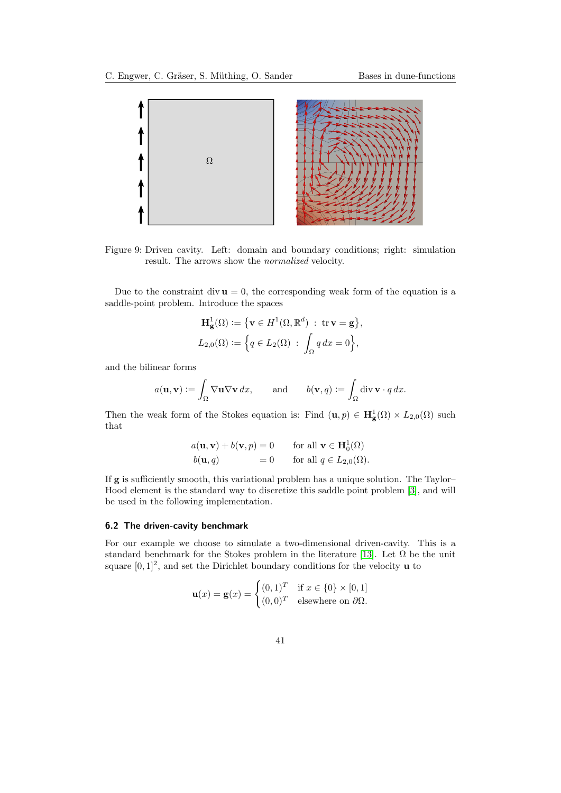

<span id="page-40-1"></span>Figure 9: Driven cavity. Left: domain and boundary conditions; right: simulation result. The arrows show the normalized velocity.

Due to the constraint div  $\mathbf{u} = 0$ , the corresponding weak form of the equation is a saddle-point problem. Introduce the spaces

$$
\mathbf{H}^{1}_{\mathbf{g}}(\Omega) := \{ \mathbf{v} \in H^{1}(\Omega, \mathbb{R}^{d}) : \text{tr}\,\mathbf{v} = \mathbf{g} \},
$$
  

$$
L_{2,0}(\Omega) := \left\{ q \in L_{2}(\Omega) : \int_{\Omega} q \, dx = 0 \right\},
$$

and the bilinear forms

$$
a(\mathbf{u}, \mathbf{v}) := \int_{\Omega} \nabla \mathbf{u} \nabla \mathbf{v} \, dx, \quad \text{and} \quad b(\mathbf{v}, q) := \int_{\Omega} \operatorname{div} \mathbf{v} \cdot q \, dx.
$$

Then the weak form of the Stokes equation is: Find  $(\mathbf{u}, p) \in \mathbf{H}^1_{\mathbf{g}}(\Omega) \times L_{2,0}(\Omega)$  such that

$$
a(\mathbf{u}, \mathbf{v}) + b(\mathbf{v}, p) = 0 \quad \text{for all } \mathbf{v} \in \mathbf{H}_0^1(\Omega)
$$
  

$$
b(\mathbf{u}, q) = 0 \quad \text{for all } q \in L_{2,0}(\Omega).
$$

If g is sufficiently smooth, this variational problem has a unique solution. The Taylor– Hood element is the standard way to discretize this saddle point problem [\[3\]](#page-52-1), and will be used in the following implementation.

## <span id="page-40-0"></span>6.2 The driven-cavity benchmark

For our example we choose to simulate a two-dimensional driven-cavity. This is a standard benchmark for the Stokes problem in the literature [\[13\]](#page-52-12). Let  $\Omega$  be the unit square  $[0,1]^2$ , and set the Dirichlet boundary conditions for the velocity **u** to

$$
\mathbf{u}(x) = \mathbf{g}(x) = \begin{cases} (0,1)^T & \text{if } x \in \{0\} \times [0,1] \\ (0,0)^T & \text{elsewhere on } \partial\Omega. \end{cases}
$$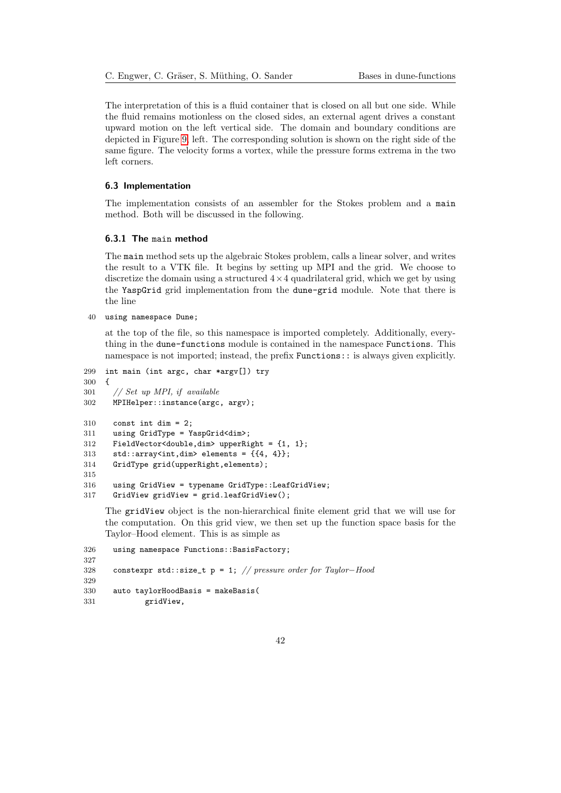The interpretation of this is a fluid container that is closed on all but one side. While the fluid remains motionless on the closed sides, an external agent drives a constant upward motion on the left vertical side. The domain and boundary conditions are depicted in Figure [9,](#page-40-1) left. The corresponding solution is shown on the right side of the same figure. The velocity forms a vortex, while the pressure forms extrema in the two left corners.

## <span id="page-41-0"></span>6.3 Implementation

The implementation consists of an assembler for the Stokes problem and a main method. Both will be discussed in the following.

## <span id="page-41-1"></span>6.3.1 The main method

The main method sets up the algebraic Stokes problem, calls a linear solver, and writes the result to a VTK file. It begins by setting up MPI and the grid. We choose to discretize the domain using a structured  $4 \times 4$  quadrilateral grid, which we get by using the YaspGrid grid implementation from the dune-grid module. Note that there is the line

40 using namespace Dune;

at the top of the file, so this namespace is imported completely. Additionally, everything in the dune-functions module is contained in the namespace Functions. This namespace is not imported; instead, the prefix Functions:: is always given explicitly.

```
299 int main (int argc, char *argv[]) try
300 {
301 // Set up MPI, if available
302 MPIHelper::instance(argc, argv);
310 const int dim = 2;
311 using GridType = YaspGrid<dim>;
312 FieldVector<double,dim> upperRight = {1, 1};
313 std::array<int,dim> elements = \{4, 4\};
314 GridType grid(upperRight,elements);
315
316 using GridView = typename GridType::LeafGridView;
317 GridView gridView = grid.leafGridView();
```
The gridView object is the non-hierarchical finite element grid that we will use for the computation. On this grid view, we then set up the function space basis for the Taylor–Hood element. This is as simple as

```
326 using namespace Functions::BasisFactory;
327
328 constexpr std::size_t p = 1; // pressure order for Taylor−Hood
329
330 auto taylorHoodBasis = makeBasis(
331 gridView,
```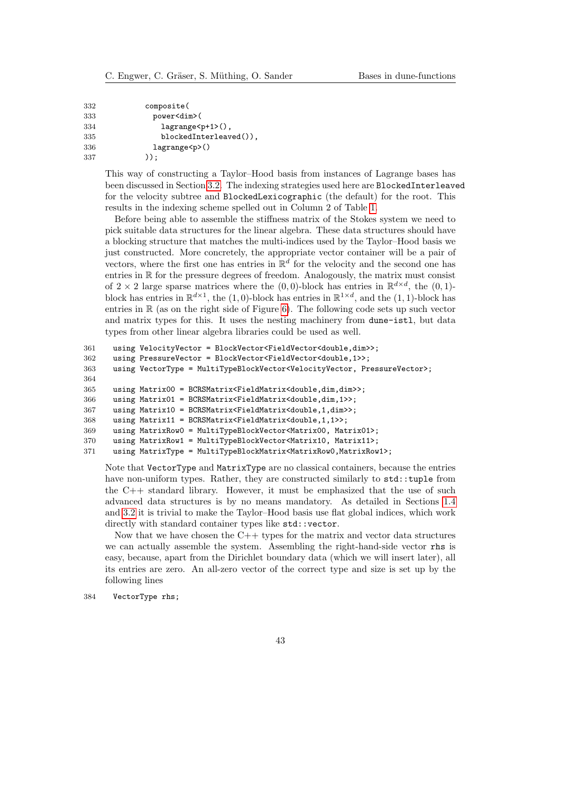| 332 | composite(         |
|-----|--------------------|
| 333 | power <dim>(</dim> |
| 334 | $lagrangep+1()$ ,  |
| 335 | $block()$ ,        |
| 336 | lagrange < p>()    |
| 337 | $)$ :              |

This way of constructing a Taylor–Hood basis from instances of Lagrange bases has been discussed in Section [3.2.](#page-28-0) The indexing strategies used here are BlockedInterleaved for the velocity subtree and BlockedLexicographic (the default) for the root. This results in the indexing scheme spelled out in Column 2 of Table [1.](#page-14-0)

Before being able to assemble the stiffness matrix of the Stokes system we need to pick suitable data structures for the linear algebra. These data structures should have a blocking structure that matches the multi-indices used by the Taylor–Hood basis we just constructed. More concretely, the appropriate vector container will be a pair of vectors, where the first one has entries in  $\mathbb{R}^d$  for the velocity and the second one has entries in R for the pressure degrees of freedom. Analogously, the matrix must consist of  $2 \times 2$  large sparse matrices where the  $(0,0)$ -block has entries in  $\mathbb{R}^{d \times d}$ , the  $(0,1)$ block has entries in  $\mathbb{R}^{d\times 1}$ , the (1,0)-block has entries in  $\mathbb{R}^{1\times d}$ , and the (1,1)-block has entries in  $\mathbb R$  (as on the right side of Figure [6\)](#page-10-1). The following code sets up such vector and matrix types for this. It uses the nesting machinery from dune-istl, but data types from other linear algebra libraries could be used as well.

```
361 using VelocityVector = BlockVector<FieldVector<double,dim>>;
362 using PressureVector = BlockVector<FieldVector<double,1>>;
363 using VectorType = MultiTypeBlockVector<VelocityVector, PressureVector>;
364
365 using Matrix00 = BCRSMatrix<FieldMatrix<double,dim,dim>>;
366 using Matrix01 = BCRSMatrix<FieldMatrix<double,dim,1>>;
367 using Matrix10 = BCRSMatrix<FieldMatrix<double,1,dim>>;
368 using Matrix11 = BCRSMatrix<FieldMatrix<double,1,1>>;
369 using MatrixRow0 = MultiTypeBlockVector<Matrix00, Matrix01>;
370 using MatrixRow1 = MultiTypeBlockVector<Matrix10, Matrix11>;
371 using MatrixType = MultiTypeBlockMatrix<MatrixRow0,MatrixRow1>;
```
<span id="page-42-0"></span>Note that VectorType and MatrixType are no classical containers, because the entries have non-uniform types. Rather, they are constructed similarly to  $std::tuple$  from the C++ standard library. However, it must be emphasized that the use of such advanced data structures is by no means mandatory. As detailed in Sections [1.4](#page-10-0) and [3.2](#page-28-0) it is trivial to make the Taylor–Hood basis use flat global indices, which work directly with standard container types like std::vector.

Now that we have chosen the  $C++$  types for the matrix and vector data structures we can actually assemble the system. Assembling the right-hand-side vector rhs is easy, because, apart from the Dirichlet boundary data (which we will insert later), all its entries are zero. An all-zero vector of the correct type and size is set up by the following lines

```
384 VectorType rhs;
```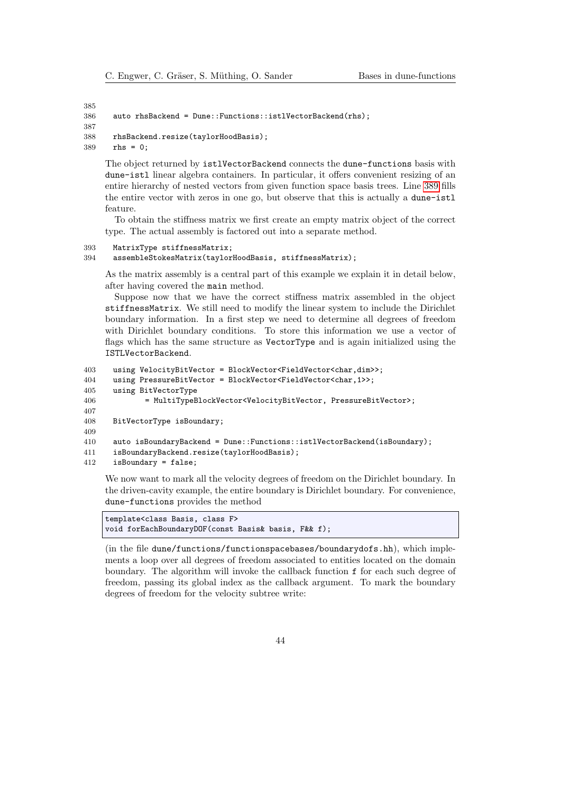```
385
386 auto rhsBackend = Dune::Functions::istlVectorBackend(rhs);
387
388 rhsBackend.resize(taylorHoodBasis);
389 rhs = 0;
```
<span id="page-43-0"></span>The object returned by istlVectorBackend connects the dune-functions basis with dune-istl linear algebra containers. In particular, it offers convenient resizing of an entire hierarchy of nested vectors from given function space basis trees. Line [389](#page-43-0) fills the entire vector with zeros in one go, but observe that this is actually a dune-istl feature.

To obtain the stiffness matrix we first create an empty matrix object of the correct type. The actual assembly is factored out into a separate method.

#### 393 MatrixType stiffnessMatrix;

## 394 assembleStokesMatrix(taylorHoodBasis, stiffnessMatrix);

<span id="page-43-1"></span>As the matrix assembly is a central part of this example we explain it in detail below, after having covered the main method.

Suppose now that we have the correct stiffness matrix assembled in the object stiffnessMatrix. We still need to modify the linear system to include the Dirichlet boundary information. In a first step we need to determine all degrees of freedom with Dirichlet boundary conditions. To store this information we use a vector of flags which has the same structure as VectorType and is again initialized using the ISTLVectorBackend.

```
403 using VelocityBitVector = BlockVector<FieldVector<char,dim>>;
404 using PressureBitVector = BlockVector<FieldVector<char,1>>;
405 using BitVectorType
406 = MultiTypeBlockVector<VelocityBitVector, PressureBitVector>;
407
408 BitVectorType isBoundary;
409
410 auto isBoundaryBackend = Dune::Functions::istlVectorBackend(isBoundary);
411 isBoundaryBackend.resize(taylorHoodBasis);
412 isBoundary = false;
```
We now want to mark all the velocity degrees of freedom on the Dirichlet boundary. In the driven-cavity example, the entire boundary is Dirichlet boundary. For convenience, dune-functions provides the method

```
template<class Basis, class F>
void forEachBoundaryDOF(const Basis& basis, F&& f);
```
(in the file dune/functions/functionspacebases/boundarydofs.hh), which implements a loop over all degrees of freedom associated to entities located on the domain boundary. The algorithm will invoke the callback function f for each such degree of freedom, passing its global index as the callback argument. To mark the boundary degrees of freedom for the velocity subtree write: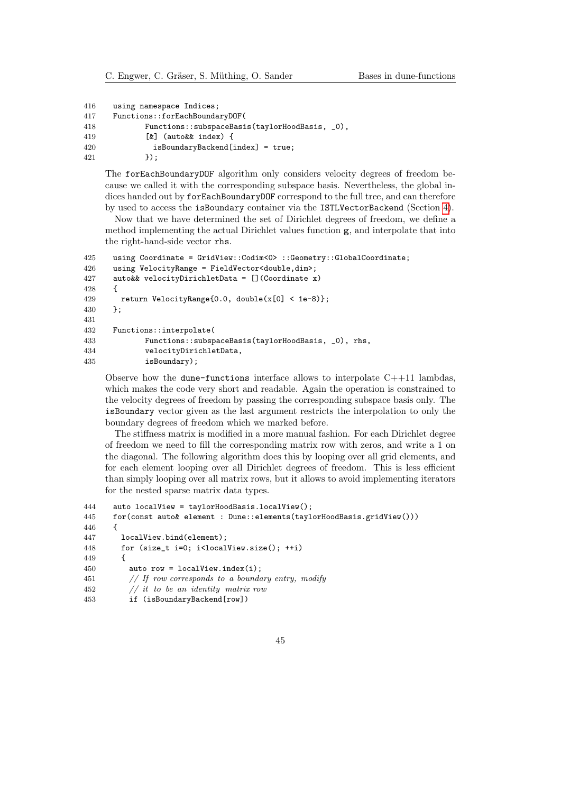```
416 using namespace Indices;
```

```
417 Functions::forEachBoundaryDOF(
```

```
418 Functions::subspaceBasis(taylorHoodBasis, _0),
419 [&] (auto&& index) {
420 isBoundaryBackend[index] = true;
421 });
```
The forEachBoundaryDOF algorithm only considers velocity degrees of freedom because we called it with the corresponding subspace basis. Nevertheless, the global indices handed out by forEachBoundaryDOF correspond to the full tree, and can therefore by used to access the isBoundary container via the ISTLVectorBackend (Section [4\)](#page-32-0).

Now that we have determined the set of Dirichlet degrees of freedom, we define a method implementing the actual Dirichlet values function g, and interpolate that into the right-hand-side vector rhs.

```
425 using Coordinate = GridView::Codim<0> ::Geometry::GlobalCoordinate;
426 using VelocityRange = FieldVector<double,dim>;
427 auto&& velocityDirichletData = [](Coordinate x)
428 {
429 return VelocityRange{0.0, double(x[0] < 1e-8)};
430 };
431
432 Functions::interpolate(
433 Functions::subspaceBasis(taylorHoodBasis, _0), rhs,
434 velocityDirichletData,
435 isBoundary);
```
Observe how the dune-functions interface allows to interpolate  $C++11$  lambdas, which makes the code very short and readable. Again the operation is constrained to the velocity degrees of freedom by passing the corresponding subspace basis only. The isBoundary vector given as the last argument restricts the interpolation to only the boundary degrees of freedom which we marked before.

The stiffness matrix is modified in a more manual fashion. For each Dirichlet degree of freedom we need to fill the corresponding matrix row with zeros, and write a 1 on the diagonal. The following algorithm does this by looping over all grid elements, and for each element looping over all Dirichlet degrees of freedom. This is less efficient than simply looping over all matrix rows, but it allows to avoid implementing iterators for the nested sparse matrix data types.

```
444 auto localView = taylorHoodBasis.localView();
445 for(const auto& element : Dune::elements(taylorHoodBasis.gridView()))
446 {
447 localView.bind(element);
448 for (size_t i=0; i<localView.size(); ++i)
449
450 auto row = localView.index(i);
451 // If row corresponds to a boundary entry, modify
452 // it to be an identity matrix row
453 if (isBoundaryBackend[row])
```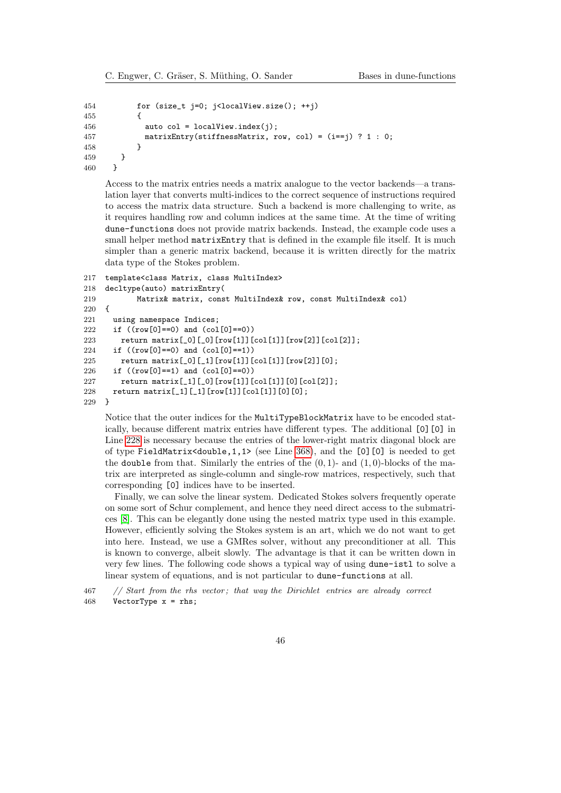```
454 for (size_t j=0; j<localView.size(); ++j)
455 {
456 auto col = localView.index(j);
457 matrixEntry(stiffnessMatrix, row, col) = (i==j) ? 1 : 0;
458 }
\begin{matrix}459 & & \\460 & & \end{matrix}460
```
Access to the matrix entries needs a matrix analogue to the vector backends—a translation layer that converts multi-indices to the correct sequence of instructions required to access the matrix data structure. Such a backend is more challenging to write, as it requires handling row and column indices at the same time. At the time of writing dune-functions does not provide matrix backends. Instead, the example code uses a small helper method matrixEntry that is defined in the example file itself. It is much simpler than a generic matrix backend, because it is written directly for the matrix data type of the Stokes problem.

```
217 template<class Matrix, class MultiIndex>
218 decltype(auto) matrixEntry(
219 Matrix& matrix, const MultiIndex& row, const MultiIndex& col)
220 \quad 5221 using namespace Indices;
222 if ((row[0]=-0) and (col[0]=-0)223 return matrix[_0][_0][row[1]][col[1]][row[2]][col[2]];
224 if ((row[0]=-0) and (col[0]=-1))225 return matrix[_0][_1][row[1]][col[1]][row[2]][0];
226 if ((row[0]=-1) and (col[0]=-0))227 return matrix [1] [0] [row[1]] [col[1]][0] [col[2]];
228 return matrix[_1][_1][row[1]][col[1]][0][0];
229 }
```
<span id="page-45-0"></span>Notice that the outer indices for the MultiTypeBlockMatrix have to be encoded statically, because different matrix entries have different types. The additional [0][0] in Line [228](#page-45-0) is necessary because the entries of the lower-right matrix diagonal block are of type FieldMatrix<double, 1, 1> (see Line [368\)](#page-42-0), and the  $[0]$  [0] is needed to get the double from that. Similarly the entries of the  $(0, 1)$ - and  $(1, 0)$ -blocks of the matrix are interpreted as single-column and single-row matrices, respectively, such that corresponding [0] indices have to be inserted.

Finally, we can solve the linear system. Dedicated Stokes solvers frequently operate on some sort of Schur complement, and hence they need direct access to the submatrices [\[8\]](#page-52-13). This can be elegantly done using the nested matrix type used in this example. However, efficiently solving the Stokes system is an art, which we do not want to get into here. Instead, we use a GMRes solver, without any preconditioner at all. This is known to converge, albeit slowly. The advantage is that it can be written down in very few lines. The following code shows a typical way of using dune-istl to solve a linear system of equations, and is not particular to dune-functions at all.

```
467 // Start from the rhs vector; that way the Dirichlet entries are already correct
468 VectorType x = rhs;
```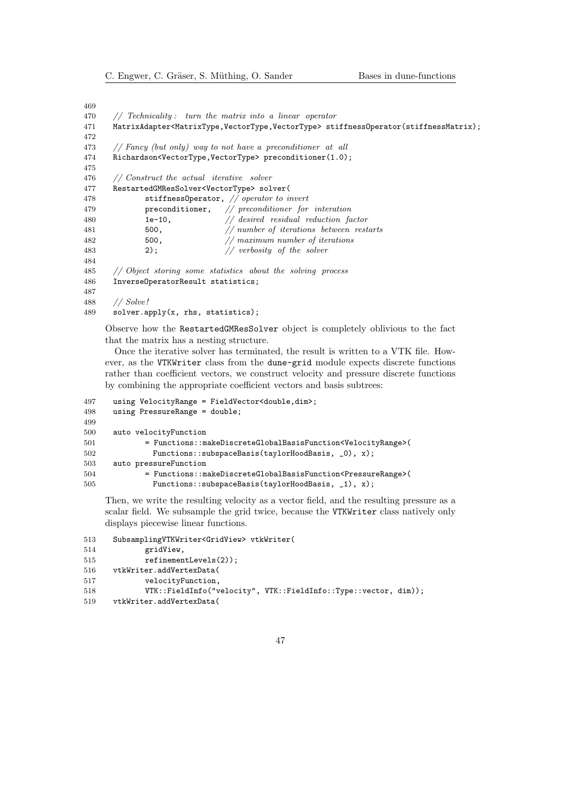```
469
470 // Technicality : turn the matrix into a linear operator
471 MatrixAdapter<MatrixType,VectorType,VectorType> stiffnessOperator(stiffnessMatrix);
472
473 // Fancy (but only) way to not have a preconditioner at all
474 Richardson<VectorType,VectorType> preconditioner(1.0);
475
476 // Construct the actual iterative solver
477 RestartedGMResSolver<VectorType> solver(
478 stiffnessOperator, // operator to invert
479 preconditioner, // preconditioner for interation
480 1e-10, // desired residual reduction factor
481 500, // number of iterations between restarts
482 500, 500, \frac{1}{\sqrt{maximum}} number of iterations
483 2); \frac{1}{2} // verbosity of the solver
484
485 // Object storing some statistics about the solving process
486 InverseOperatorResult statistics;
487
488 // Solve !
489 solver.apply(x, rhs, statistics);
```
Observe how the RestartedGMResSolver object is completely oblivious to the fact that the matrix has a nesting structure.

Once the iterative solver has terminated, the result is written to a VTK file. However, as the VTKWriter class from the dune-grid module expects discrete functions rather than coefficient vectors, we construct velocity and pressure discrete functions by combining the appropriate coefficient vectors and basis subtrees:

```
497 using VelocityRange = FieldVector<double,dim>;
498 using PressureRange = double;
499
500 auto velocityFunction
501 = Functions::makeDiscreteGlobalBasisFunction<VelocityRange>(
502 Functions::subspaceBasis(taylorHoodBasis, _0), x);
503 auto pressureFunction
504 = Functions::makeDiscreteGlobalBasisFunction<PressureRange>(
505 Functions::subspaceBasis(taylorHoodBasis, 1), x);
```
Then, we write the resulting velocity as a vector field, and the resulting pressure as a scalar field. We subsample the grid twice, because the VTKWriter class natively only displays piecewise linear functions.

```
513 SubsamplingVTKWriter<GridView> vtkWriter(
514 gridView,
515 refinementLevels(2));
516 vtkWriter.addVertexData(
517 velocityFunction,
518 VTK::FieldInfo("velocity", VTK::FieldInfo::Type::vector, dim));
519 vtkWriter.addVertexData(
```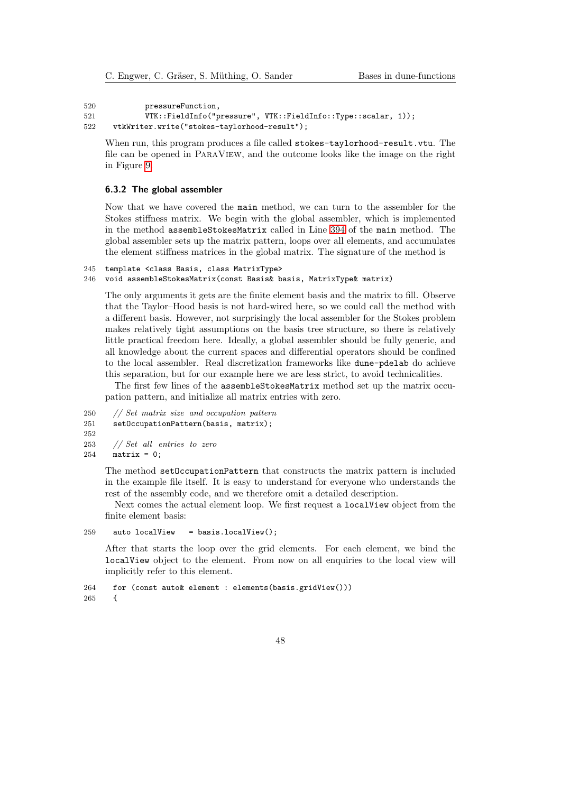```
520 pressureFunction,
```

```
521 VTK::FieldInfo("pressure", VTK::FieldInfo::Type::scalar, 1));
522 vtkWriter.write("stokes-taylorhood-result");
```
When run, this program produces a file called stokes-taylorhood-result.vtu. The file can be opened in ParaView, and the outcome looks like the image on the right in Figure [9.](#page-40-1)

## 6.3.2 The global assembler

Now that we have covered the main method, we can turn to the assembler for the Stokes stiffness matrix. We begin with the global assembler, which is implemented in the method assembleStokesMatrix called in Line [394](#page-43-1) of the main method. The global assembler sets up the matrix pattern, loops over all elements, and accumulates the element stiffness matrices in the global matrix. The signature of the method is

```
245 template <class Basis, class MatrixType>
```
#### 246 void assembleStokesMatrix(const Basis& basis, MatrixType& matrix)

The only arguments it gets are the finite element basis and the matrix to fill. Observe that the Taylor–Hood basis is not hard-wired here, so we could call the method with a different basis. However, not surprisingly the local assembler for the Stokes problem makes relatively tight assumptions on the basis tree structure, so there is relatively little practical freedom here. Ideally, a global assembler should be fully generic, and all knowledge about the current spaces and differential operators should be confined to the local assembler. Real discretization frameworks like dune-pdelab do achieve this separation, but for our example here we are less strict, to avoid technicalities.

The first few lines of the assembleStokesMatrix method set up the matrix occupation pattern, and initialize all matrix entries with zero.

```
250 // Set matrix size and occupation pattern
251 setOccupationPattern(basis, matrix);
252
253 // Set all entries to zero
254 matrix = 0:
```
The method setOccupationPattern that constructs the matrix pattern is included in the example file itself. It is easy to understand for everyone who understands the rest of the assembly code, and we therefore omit a detailed description.

Next comes the actual element loop. We first request a localView object from the finite element basis:

```
259 auto localView = basis.localView();
```
After that starts the loop over the grid elements. For each element, we bind the localView object to the element. From now on all enquiries to the local view will implicitly refer to this element.

```
264 for (const auto& element : elements(basis.gridView()))
265 {
```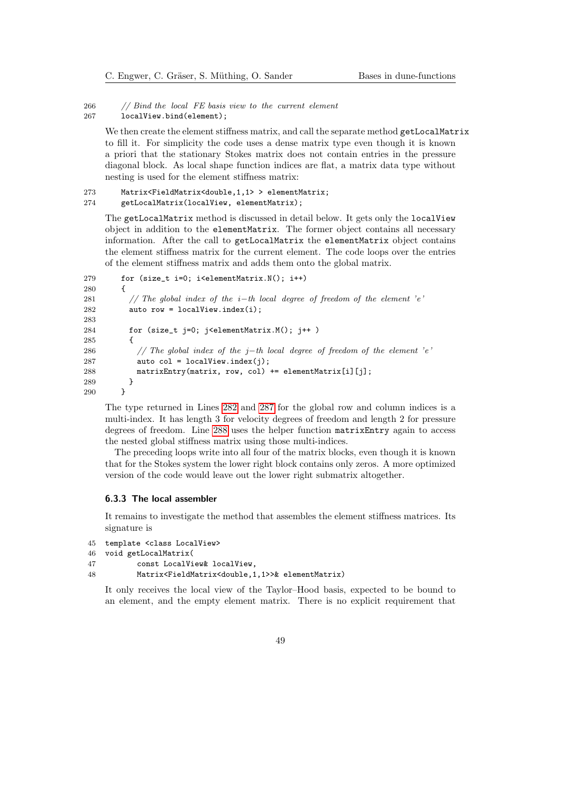## 266 // Bind the local FE basis view to the current element 267 localView.bind(element);

We then create the element stiffness matrix, and call the separate method getLocalMatrix to fill it. For simplicity the code uses a dense matrix type even though it is known a priori that the stationary Stokes matrix does not contain entries in the pressure diagonal block. As local shape function indices are flat, a matrix data type without nesting is used for the element stiffness matrix:

```
273 Matrix<FieldMatrix<double,1,1> > elementMatrix;
274 getLocalMatrix(localView, elementMatrix);
```
The getLocalMatrix method is discussed in detail below. It gets only the localView object in addition to the elementMatrix. The former object contains all necessary information. After the call to getLocalMatrix the elementMatrix object contains the element stiffness matrix for the current element. The code loops over the entries of the element stiffness matrix and adds them onto the global matrix.

```
279 for (size_t i=0; i<elementMatrix.N(); i++)
280
281 // The global index of the i−th local degree of freedom of the element 'e'
282 auto row = localView.index(i);
283
284 for (size_t j=0; j<elementMatrix.M(); j++ )
285 {
286 // The global index of the j−th local degree of freedom of the element 'e'
287 auto col = localView.index(j);
288 matrixEntry(matrix, row, col) += elementMatrix[i][j];
289 }
290 }
```
<span id="page-48-2"></span><span id="page-48-1"></span>The type returned in Lines [282](#page-48-0) and [287](#page-48-1) for the global row and column indices is a multi-index. It has length 3 for velocity degrees of freedom and length 2 for pressure degrees of freedom. Line [288](#page-48-2) uses the helper function matrixEntry again to access the nested global stiffness matrix using those multi-indices.

The preceding loops write into all four of the matrix blocks, even though it is known that for the Stokes system the lower right block contains only zeros. A more optimized version of the code would leave out the lower right submatrix altogether.

## 6.3.3 The local assembler

It remains to investigate the method that assembles the element stiffness matrices. Its signature is

```
45 template <class LocalView>
46 void getLocalMatrix(
47 const LocalView& localView,
48 Matrix<FieldMatrix<double,1,1>>& elementMatrix)
```
It only receives the local view of the Taylor–Hood basis, expected to be bound to an element, and the empty element matrix. There is no explicit requirement that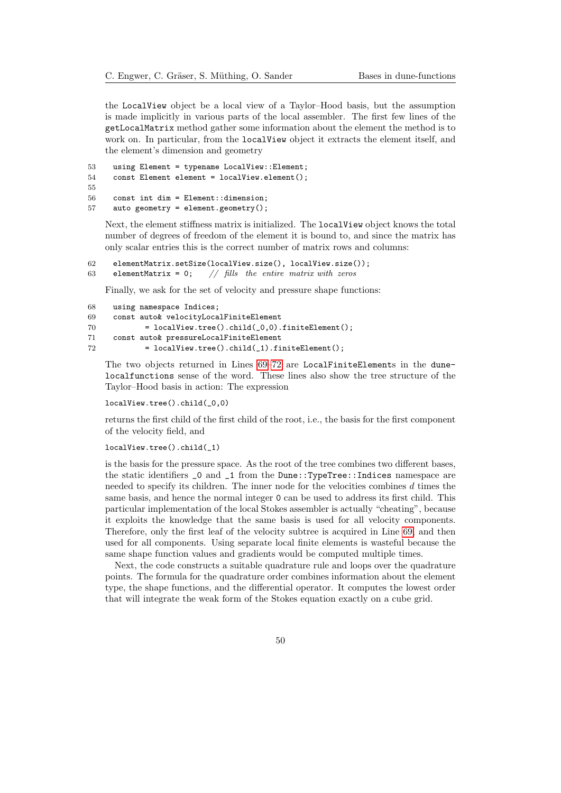the LocalView object be a local view of a Taylor–Hood basis, but the assumption is made implicitly in various parts of the local assembler. The first few lines of the getLocalMatrix method gather some information about the element the method is to work on. In particular, from the localView object it extracts the element itself, and the element's dimension and geometry

```
53 using Element = typename LocalView::Element;
54 const Element element = localView.element();
55
56 const int dim = Element::dimension;
57 auto geometry = element.geometry();
```
Next, the element stiffness matrix is initialized. The localView object knows the total number of degrees of freedom of the element it is bound to, and since the matrix has only scalar entries this is the correct number of matrix rows and columns:

```
62 elementMatrix.setSize(localView.size(), localView.size());
63 elementMatrix = 0; // fills the entire matrix with zeros
```
Finally, we ask for the set of velocity and pressure shape functions:

```
68 using namespace Indices;
69 const auto& velocityLocalFiniteElement
70 = localView.tree().child(_0,0).finiteElement();
71 const auto& pressureLocalFiniteElement
72 = localView.tree().child(_1).finiteElement();
```
<span id="page-49-1"></span>The two objects returned in Lines [69–](#page-49-0)[72](#page-49-1) are LocalFiniteElements in the dunelocalfunctions sense of the word. These lines also show the tree structure of the Taylor–Hood basis in action: The expression

#### localView.tree().child(\_0,0)

returns the first child of the first child of the root, i.e., the basis for the first component of the velocity field, and

### localView.tree().child(\_1)

is the basis for the pressure space. As the root of the tree combines two different bases, the static identifiers \_0 and \_1 from the Dune::TypeTree::Indices namespace are needed to specify its children. The inner node for the velocities combines d times the same basis, and hence the normal integer 0 can be used to address its first child. This particular implementation of the local Stokes assembler is actually "cheating", because it exploits the knowledge that the same basis is used for all velocity components. Therefore, only the first leaf of the velocity subtree is acquired in Line [69,](#page-49-0) and then used for all components. Using separate local finite elements is wasteful because the same shape function values and gradients would be computed multiple times.

Next, the code constructs a suitable quadrature rule and loops over the quadrature points. The formula for the quadrature order combines information about the element type, the shape functions, and the differential operator. It computes the lowest order that will integrate the weak form of the Stokes equation exactly on a cube grid.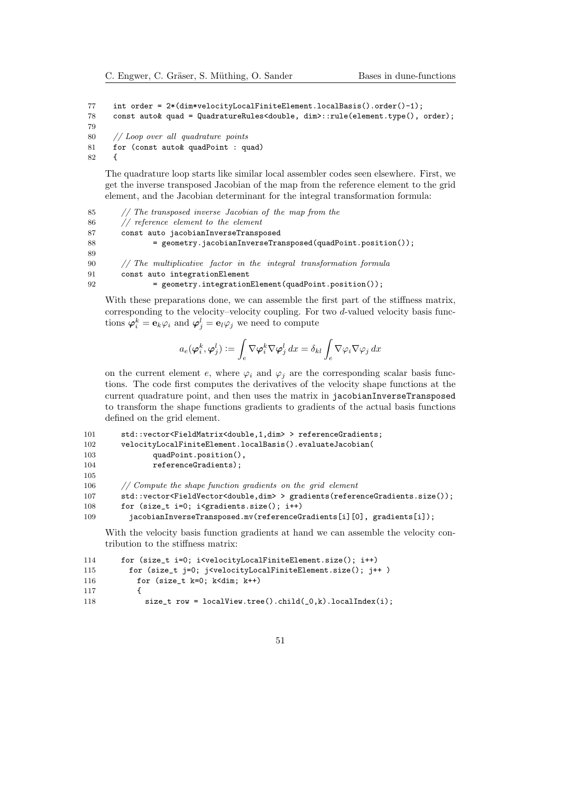```
77 int order = 2*(dim*velocityLocalFiniteElement.localBasis().order()-1);
78 const auto& quad = QuadratureRules<double, dim>::rule(element.type(), order);
79
80 // Loop over all quadrature points
81 for (const auto& quadPoint : quad)
82 {
```
The quadrature loop starts like similar local assembler codes seen elsewhere. First, we get the inverse transposed Jacobian of the map from the reference element to the grid element, and the Jacobian determinant for the integral transformation formula:

```
85 // The transposed inverse Jacobian of the map from the
86 // reference element to the element
87 const auto jacobianInverseTransposed
88 = geometry.jacobianInverseTransposed(quadPoint.position());
89
90 // The multiplicative factor in the integral transformation formula
91 const auto integrationElement
92 = geometry.integrationElement(quadPoint.position());
```
With these preparations done, we can assemble the first part of the stiffness matrix, corresponding to the velocity–velocity coupling. For two  $d$ -valued velocity basis functions  $\boldsymbol{\varphi}_i^k = \mathbf{e}_k \varphi_i$  and  $\boldsymbol{\varphi}_j^l = \mathbf{e}_l \varphi_j$  we need to compute

$$
a_e(\boldsymbol{\varphi}_i^k, \boldsymbol{\varphi}_j^l) \coloneqq \int_e \nabla \boldsymbol{\varphi}_i^k \nabla \boldsymbol{\varphi}_j^l dx = \delta_{kl} \int_e \nabla \varphi_i \nabla \varphi_j dx
$$

on the current element e, where  $\varphi_i$  and  $\varphi_j$  are the corresponding scalar basis functions. The code first computes the derivatives of the velocity shape functions at the current quadrature point, and then uses the matrix in jacobianInverseTransposed to transform the shape functions gradients to gradients of the actual basis functions defined on the grid element.

```
101 std::vector<FieldMatrix<double,1,dim> > referenceGradients;
102 velocityLocalFiniteElement.localBasis().evaluateJacobian(
103 quadPoint.position(),
104 referenceGradients);
105
```

```
106 // Compute the shape function gradients on the grid element
107 std::vector<FieldVector<double,dim> > gradients(referenceGradients.size());
108 for (size_t i=0; i<gradients.size(); i++)
```
109 jacobianInverseTransposed.mv(referenceGradients[i][0], gradients[i]);

With the velocity basis function gradients at hand we can assemble the velocity contribution to the stiffness matrix:

```
114 for (size_t i=0; i<velocityLocalFiniteElement.size(); i++)
115 for (size_t j=0; j<velocityLocalFiniteElement.size(); j++ )
116 for (size_t k=0; k<dim; k++)
117 {
118 size_t row = localView.tree().child(_0,k).localIndex(i);
```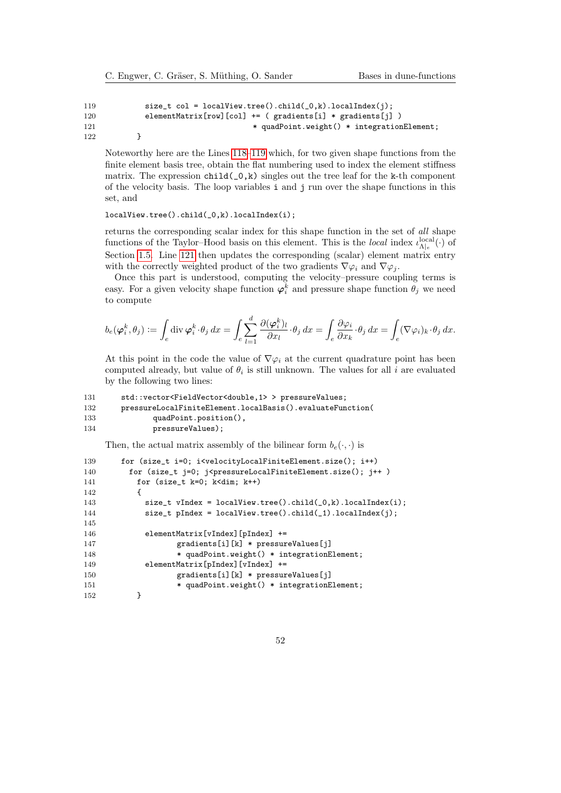```
119 size_t col = localView.tree().child(_0,k).localIndex(j);
120 elementMatrix[row][col] += ( gradients[i] * gradients[j] )
121 * quadPoint.weight() * integrationElement;
122 }
```
Noteworthy here are the Lines [118–](#page-50-0)[119](#page-51-0) which, for two given shape functions from the finite element basis tree, obtain the flat numbering used to index the element stiffness matrix. The expression  $child(0,k)$  singles out the tree leaf for the k-th component of the velocity basis. The loop variables i and j run over the shape functions in this set, and

localView.tree().child(\_0,k).localIndex(i);

returns the corresponding scalar index for this shape function in the set of all shape functions of the Taylor–Hood basis on this element. This is the *local* index  $\iota_{\Lambda|_e}^{\text{local}}(\cdot)$  of Section [1.5.](#page-15-0) Line [121](#page-51-1) then updates the corresponding (scalar) element matrix entry with the correctly weighted product of the two gradients  $\nabla \varphi_i$  and  $\nabla \varphi_j$ .

Once this part is understood, computing the velocity–pressure coupling terms is easy. For a given velocity shape function  $\varphi_i^k$  and pressure shape function  $\theta_j$  we need to compute

$$
b_e(\boldsymbol{\varphi}_i^k, \theta_j) := \int_e \text{div } \boldsymbol{\varphi}_i^k \cdot \theta_j \, dx = \int_e \sum_{l=1}^d \frac{\partial (\boldsymbol{\varphi}_i^k)_l}{\partial x_l} \cdot \theta_j \, dx = \int_e \frac{\partial \varphi_i}{\partial x_k} \cdot \theta_j \, dx = \int_e (\nabla \varphi_i)_k \cdot \theta_j \, dx.
$$

At this point in the code the value of  $\nabla \varphi_i$  at the current quadrature point has been computed already, but value of  $\theta_i$  is still unknown. The values for all i are evaluated by the following two lines:

```
131 std::vector<FieldVector<double,1> > pressureValues;
132 pressureLocalFiniteElement.localBasis().evaluateFunction(
133 quadPoint.position(),
134 pressureValues);
```
Then, the actual matrix assembly of the bilinear form  $b_e(\cdot, \cdot)$  is

```
139 for (size_t i=0; i<velocityLocalFiniteElement.size(); i++)
140 for (size_t j=0; j<pressureLocalFiniteElement.size(); j++ )
141 for (size_t k=0; k<dim; k++)
142 {
143 size t vIndex = localView.tree().child(0,k).localIndex(i);
144 size_t pIndex = localView.tree().child(_1).localIndex(j);
145
146 elementMatrix[vIndex][pIndex] +=
147 gradients[i][k] * pressureValues[j]
148 * quadPoint.weight() * integrationElement;
149 elementMatrix[pIndex] [vIndex] +=
150 gradients[i][k] * pressureValues[j]
151 * quadPoint.weight() * integrationElement;
152 }
```